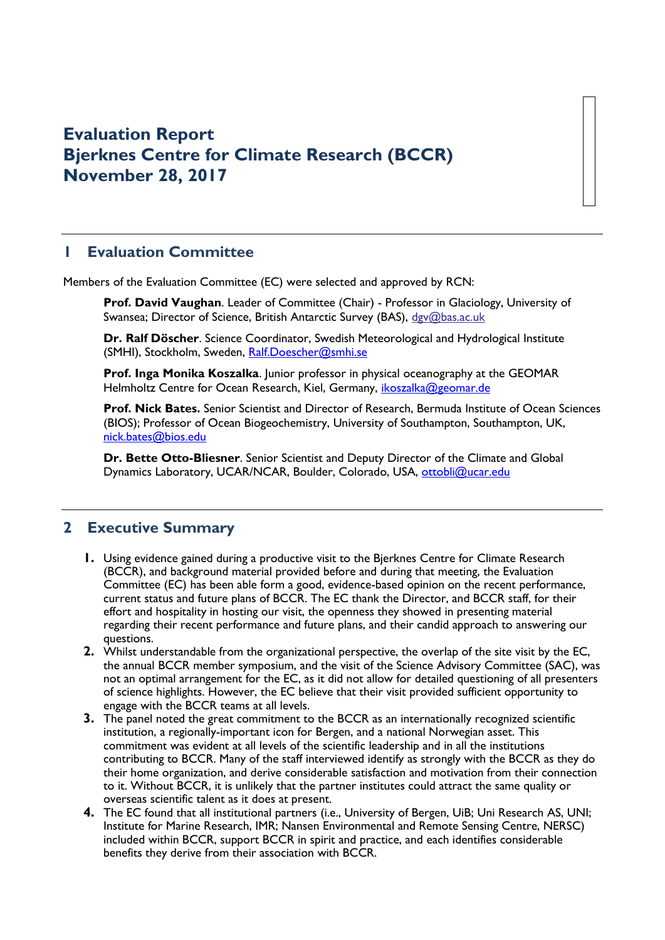# **Evaluation Report Bjerknes Centre for Climate Research (BCCR) November 28, 2017**

# **1 Evaluation Committee**

Members of the Evaluation Committee (EC) were selected and approved by RCN:

**Prof. David Vaughan**. Leader of Committee (Chair) - Professor in Glaciology, University of Swansea; Director of Science, British Antarctic Survey (BAS), [dgv@bas.ac.uk](mailto:dgv@bas.ac.uk)

**Dr. Ralf Döscher**. Science Coordinator, Swedish Meteorological and Hydrological Institute (SMHI), Stockholm, Sweden, [Ralf.Doescher@smhi.se](mailto:Ralf.Doescher@smhi.se)

**Prof. Inga Monika Koszalka**. Junior professor in physical oceanography at the GEOMAR Helmholtz Centre for Ocean Research, Kiel, Germany, [ikoszalka@geomar.de](mailto:ikoszalka@geomar.de)

**Prof. Nick Bates.** Senior Scientist and Director of Research, Bermuda Institute of Ocean Sciences (BIOS); Professor of Ocean Biogeochemistry, University of Southampton, Southampton, UK, [nick.bates@bios.edu](mailto:nick.bates@bios.edu)

**Dr. Bette Otto-Bliesner**. Senior Scientist and Deputy Director of the Climate and Global Dynamics Laboratory, UCAR/NCAR, Boulder, Colorado, USA, [ottobli@ucar.edu](mailto:ottobli@ucar.edu)

### **2 Executive Summary**

- **1.** Using evidence gained during a productive visit to the Bjerknes Centre for Climate Research (BCCR), and background material provided before and during that meeting, the Evaluation Committee (EC) has been able form a good, evidence-based opinion on the recent performance, current status and future plans of BCCR. The EC thank the Director, and BCCR staff, for their effort and hospitality in hosting our visit, the openness they showed in presenting material regarding their recent performance and future plans, and their candid approach to answering our questions.
- **2.** Whilst understandable from the organizational perspective, the overlap of the site visit by the EC, the annual BCCR member symposium, and the visit of the Science Advisory Committee (SAC), was not an optimal arrangement for the EC, as it did not allow for detailed questioning of all presenters of science highlights. However, the EC believe that their visit provided sufficient opportunity to engage with the BCCR teams at all levels.
- **3.** The panel noted the great commitment to the BCCR as an internationally recognized scientific institution, a regionally-important icon for Bergen, and a national Norwegian asset. This commitment was evident at all levels of the scientific leadership and in all the institutions contributing to BCCR. Many of the staff interviewed identify as strongly with the BCCR as they do their home organization, and derive considerable satisfaction and motivation from their connection to it. Without BCCR, it is unlikely that the partner institutes could attract the same quality or overseas scientific talent as it does at present.
- **4.** The EC found that all institutional partners (i.e., University of Bergen, UiB; Uni Research AS, UNI; Institute for Marine Research, IMR; Nansen Environmental and Remote Sensing Centre, NERSC) included within BCCR, support BCCR in spirit and practice, and each identifies considerable benefits they derive from their association with BCCR.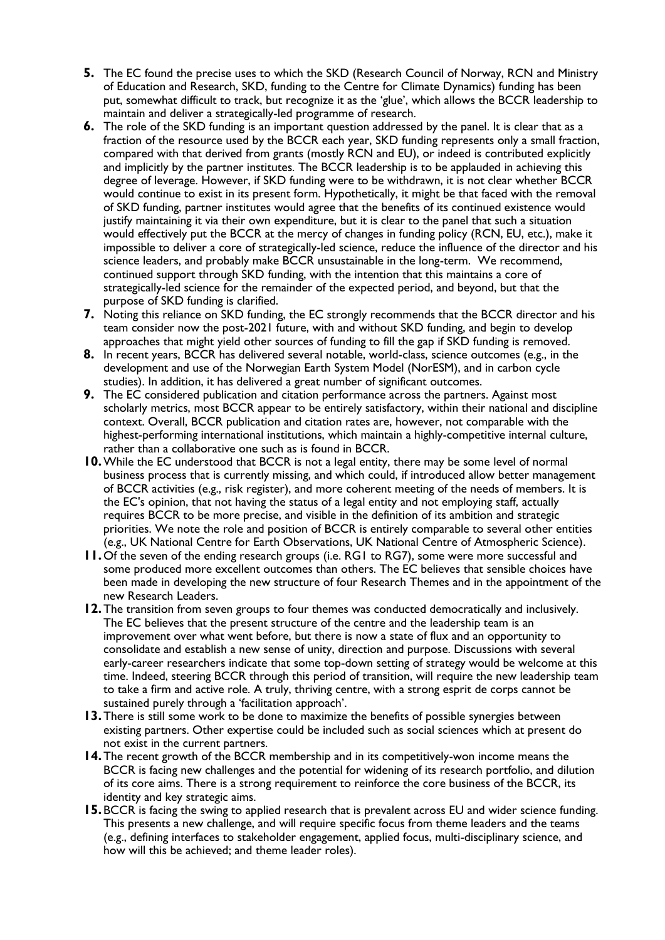- **5.** The EC found the precise uses to which the SKD (Research Council of Norway, RCN and Ministry of Education and Research, SKD, funding to the Centre for Climate Dynamics) funding has been put, somewhat difficult to track, but recognize it as the 'glue', which allows the BCCR leadership to maintain and deliver a strategically-led programme of research.
- **6.** The role of the SKD funding is an important question addressed by the panel. It is clear that as a fraction of the resource used by the BCCR each year, SKD funding represents only a small fraction, compared with that derived from grants (mostly RCN and EU), or indeed is contributed explicitly and implicitly by the partner institutes. The BCCR leadership is to be applauded in achieving this degree of leverage. However, if SKD funding were to be withdrawn, it is not clear whether BCCR would continue to exist in its present form. Hypothetically, it might be that faced with the removal of SKD funding, partner institutes would agree that the benefits of its continued existence would justify maintaining it via their own expenditure, but it is clear to the panel that such a situation would effectively put the BCCR at the mercy of changes in funding policy (RCN, EU, etc.), make it impossible to deliver a core of strategically-led science, reduce the influence of the director and his science leaders, and probably make BCCR unsustainable in the long-term. We recommend, continued support through SKD funding, with the intention that this maintains a core of strategically-led science for the remainder of the expected period, and beyond, but that the purpose of SKD funding is clarified.
- **7.** Noting this reliance on SKD funding, the EC strongly recommends that the BCCR director and his team consider now the post-2021 future, with and without SKD funding, and begin to develop approaches that might yield other sources of funding to fill the gap if SKD funding is removed.
- **8.** In recent years, BCCR has delivered several notable, world-class, science outcomes (e.g., in the development and use of the Norwegian Earth System Model (NorESM), and in carbon cycle studies). In addition, it has delivered a great number of significant outcomes.
- **9.** The EC considered publication and citation performance across the partners. Against most scholarly metrics, most BCCR appear to be entirely satisfactory, within their national and discipline context. Overall, BCCR publication and citation rates are, however, not comparable with the highest-performing international institutions, which maintain a highly-competitive internal culture, rather than a collaborative one such as is found in BCCR.
- **10.**While the EC understood that BCCR is not a legal entity, there may be some level of normal business process that is currently missing, and which could, if introduced allow better management of BCCR activities (e.g., risk register), and more coherent meeting of the needs of members. It is the EC's opinion, that not having the status of a legal entity and not employing staff, actually requires BCCR to be more precise, and visible in the definition of its ambition and strategic priorities. We note the role and position of BCCR is entirely comparable to several other entities (e.g., UK National Centre for Earth Observations, UK National Centre of Atmospheric Science).
- **11.** Of the seven of the ending research groups (i.e. RG1 to RG7), some were more successful and some produced more excellent outcomes than others. The EC believes that sensible choices have been made in developing the new structure of four Research Themes and in the appointment of the new Research Leaders.
- **12.**The transition from seven groups to four themes was conducted democratically and inclusively. The EC believes that the present structure of the centre and the leadership team is an improvement over what went before, but there is now a state of flux and an opportunity to consolidate and establish a new sense of unity, direction and purpose. Discussions with several early-career researchers indicate that some top-down setting of strategy would be welcome at this time. Indeed, steering BCCR through this period of transition, will require the new leadership team to take a firm and active role. A truly, thriving centre, with a strong esprit de corps cannot be sustained purely through a 'facilitation approach'.
- **13.**There is still some work to be done to maximize the benefits of possible synergies between existing partners. Other expertise could be included such as social sciences which at present do not exist in the current partners.
- **14.**The recent growth of the BCCR membership and in its competitively-won income means the BCCR is facing new challenges and the potential for widening of its research portfolio, and dilution of its core aims. There is a strong requirement to reinforce the core business of the BCCR, its identity and key strategic aims.
- **15.**BCCR is facing the swing to applied research that is prevalent across EU and wider science funding. This presents a new challenge, and will require specific focus from theme leaders and the teams (e.g., defining interfaces to stakeholder engagement, applied focus, multi-disciplinary science, and how will this be achieved; and theme leader roles).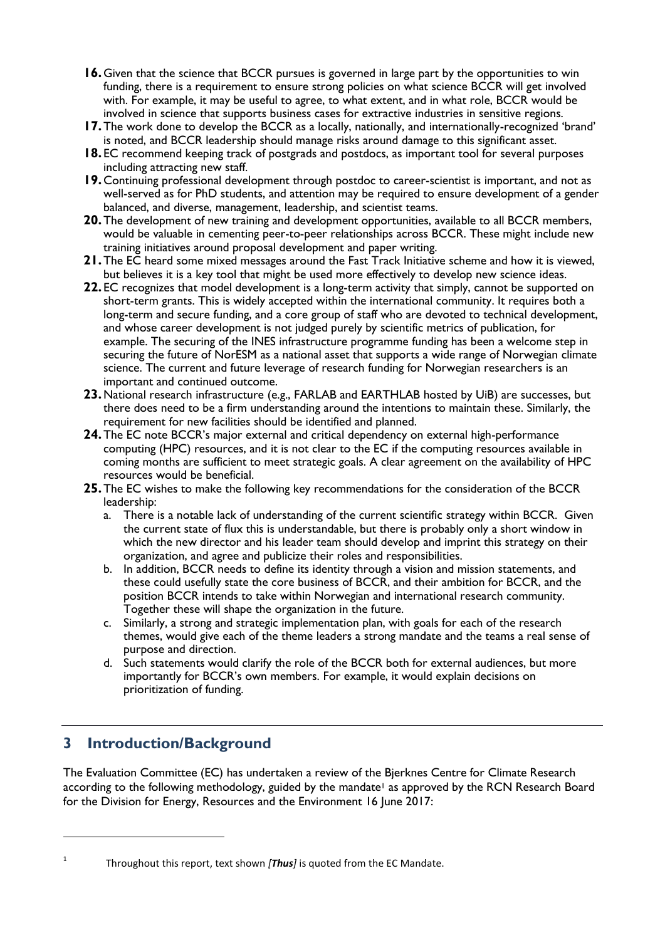- **16.** Given that the science that BCCR pursues is governed in large part by the opportunities to win funding, there is a requirement to ensure strong policies on what science BCCR will get involved with. For example, it may be useful to agree, to what extent, and in what role, BCCR would be involved in science that supports business cases for extractive industries in sensitive regions.
- **17.** The work done to develop the BCCR as a locally, nationally, and internationally-recognized 'brand' is noted, and BCCR leadership should manage risks around damage to this significant asset.
- **18.** EC recommend keeping track of postgrads and postdocs, as important tool for several purposes including attracting new staff.
- **19.**Continuing professional development through postdoc to career-scientist is important, and not as well-served as for PhD students, and attention may be required to ensure development of a gender balanced, and diverse, management, leadership, and scientist teams.
- **20.**The development of new training and development opportunities, available to all BCCR members, would be valuable in cementing peer-to-peer relationships across BCCR. These might include new training initiatives around proposal development and paper writing.
- **21.**The EC heard some mixed messages around the Fast Track Initiative scheme and how it is viewed, but believes it is a key tool that might be used more effectively to develop new science ideas.
- **22.** EC recognizes that model development is a long-term activity that simply, cannot be supported on short-term grants. This is widely accepted within the international community. It requires both a long-term and secure funding, and a core group of staff who are devoted to technical development, and whose career development is not judged purely by scientific metrics of publication, for example. The securing of the INES infrastructure programme funding has been a welcome step in securing the future of NorESM as a national asset that supports a wide range of Norwegian climate science. The current and future leverage of research funding for Norwegian researchers is an important and continued outcome.
- **23.**National research infrastructure (e.g., FARLAB and EARTHLAB hosted by UiB) are successes, but there does need to be a firm understanding around the intentions to maintain these. Similarly, the requirement for new facilities should be identified and planned.
- **24.**The EC note BCCR's major external and critical dependency on external high-performance computing (HPC) resources, and it is not clear to the EC if the computing resources available in coming months are sufficient to meet strategic goals. A clear agreement on the availability of HPC resources would be beneficial.
- **25.**The EC wishes to make the following key recommendations for the consideration of the BCCR leadership:
	- a. There is a notable lack of understanding of the current scientific strategy within BCCR. Given the current state of flux this is understandable, but there is probably only a short window in which the new director and his leader team should develop and imprint this strategy on their organization, and agree and publicize their roles and responsibilities.
	- b. In addition, BCCR needs to define its identity through a vision and mission statements, and these could usefully state the core business of BCCR, and their ambition for BCCR, and the position BCCR intends to take within Norwegian and international research community. Together these will shape the organization in the future.
	- c. Similarly, a strong and strategic implementation plan, with goals for each of the research themes, would give each of the theme leaders a strong mandate and the teams a real sense of purpose and direction.
	- d. Such statements would clarify the role of the BCCR both for external audiences, but more importantly for BCCR's own members. For example, it would explain decisions on prioritization of funding.

### **3 Introduction/Background**

The Evaluation Committee (EC) has undertaken a review of the Bjerknes Centre for Climate Research according to the following methodology, guided by the mandate<sup>1</sup> as approved by the RCN Research Board for the Division for Energy, Resources and the Environment 16 June 2017:

1

**.** 

Throughout this report, text shown *[Thus]* is quoted from the EC Mandate.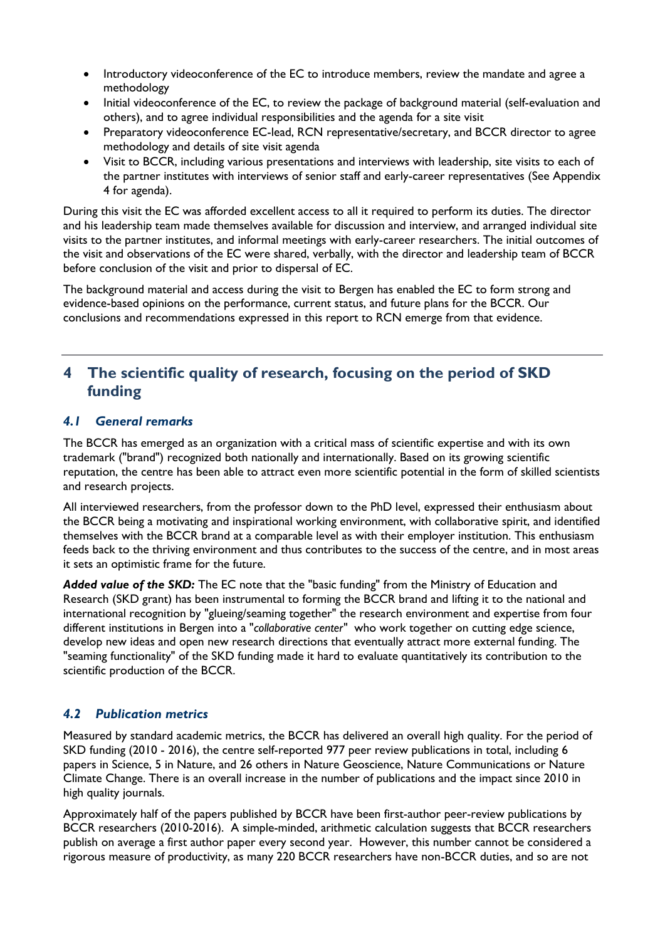- Introductory videoconference of the EC to introduce members, review the mandate and agree a methodology
- Initial videoconference of the EC, to review the package of background material (self-evaluation and others), and to agree individual responsibilities and the agenda for a site visit
- Preparatory videoconference EC-lead, RCN representative/secretary, and BCCR director to agree methodology and details of site visit agenda
- Visit to BCCR, including various presentations and interviews with leadership, site visits to each of the partner institutes with interviews of senior staff and early-career representatives (See Appendix 4 for agenda).

During this visit the EC was afforded excellent access to all it required to perform its duties. The director and his leadership team made themselves available for discussion and interview, and arranged individual site visits to the partner institutes, and informal meetings with early-career researchers. The initial outcomes of the visit and observations of the EC were shared, verbally, with the director and leadership team of BCCR before conclusion of the visit and prior to dispersal of EC.

The background material and access during the visit to Bergen has enabled the EC to form strong and evidence-based opinions on the performance, current status, and future plans for the BCCR. Our conclusions and recommendations expressed in this report to RCN emerge from that evidence.

### **4 The scientific quality of research, focusing on the period of SKD funding**

#### *4.1 General remarks*

The BCCR has emerged as an organization with a critical mass of scientific expertise and with its own trademark ("brand") recognized both nationally and internationally. Based on its growing scientific reputation, the centre has been able to attract even more scientific potential in the form of skilled scientists and research projects.

All interviewed researchers, from the professor down to the PhD level, expressed their enthusiasm about the BCCR being a motivating and inspirational working environment, with collaborative spirit, and identified themselves with the BCCR brand at a comparable level as with their employer institution. This enthusiasm feeds back to the thriving environment and thus contributes to the success of the centre, and in most areas it sets an optimistic frame for the future.

*Added value of the SKD:* The EC note that the "basic funding" from the Ministry of Education and Research (SKD grant) has been instrumental to forming the BCCR brand and lifting it to the national and international recognition by "glueing/seaming together" the research environment and expertise from four different institutions in Bergen into a "*collaborative center"* who work together on cutting edge science, develop new ideas and open new research directions that eventually attract more external funding. The "seaming functionality" of the SKD funding made it hard to evaluate quantitatively its contribution to the scientific production of the BCCR.

#### *4.2 Publication metrics*

Measured by standard academic metrics, the BCCR has delivered an overall high quality. For the period of SKD funding (2010 - 2016), the centre self-reported 977 peer review publications in total, including 6 papers in Science, 5 in Nature, and 26 others in Nature Geoscience, Nature Communications or Nature Climate Change. There is an overall increase in the number of publications and the impact since 2010 in high quality journals.

Approximately half of the papers published by BCCR have been first-author peer-review publications by BCCR researchers (2010-2016). A simple-minded, arithmetic calculation suggests that BCCR researchers publish on average a first author paper every second year. However, this number cannot be considered a rigorous measure of productivity, as many 220 BCCR researchers have non-BCCR duties, and so are not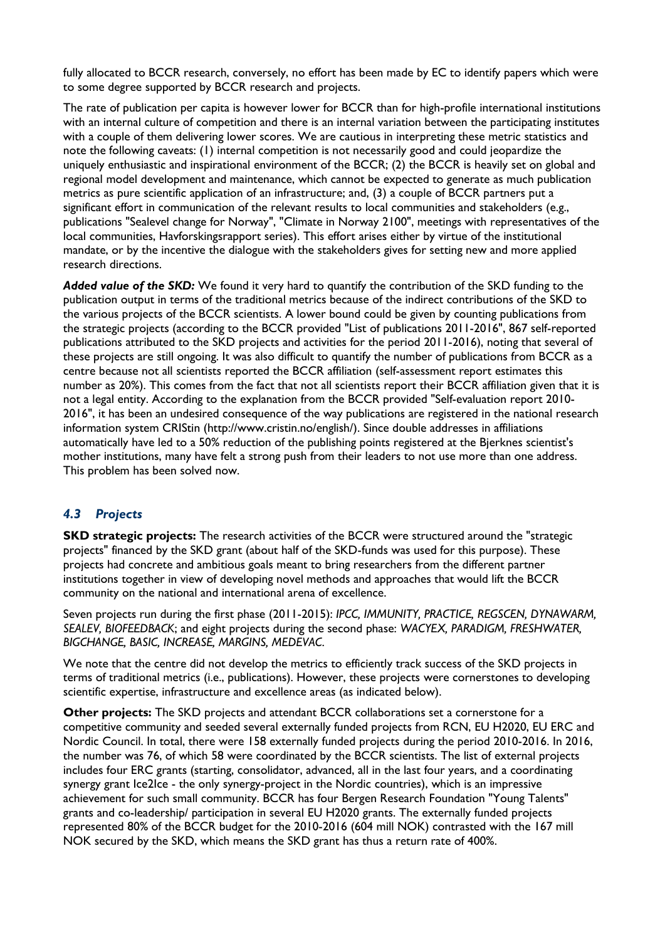fully allocated to BCCR research, conversely, no effort has been made by EC to identify papers which were to some degree supported by BCCR research and projects.

The rate of publication per capita is however lower for BCCR than for high-profile international institutions with an internal culture of competition and there is an internal variation between the participating institutes with a couple of them delivering lower scores. We are cautious in interpreting these metric statistics and note the following caveats: (1) internal competition is not necessarily good and could jeopardize the uniquely enthusiastic and inspirational environment of the BCCR; (2) the BCCR is heavily set on global and regional model development and maintenance, which cannot be expected to generate as much publication metrics as pure scientific application of an infrastructure; and, (3) a couple of BCCR partners put a significant effort in communication of the relevant results to local communities and stakeholders (e.g., publications "Sealevel change for Norway", "Climate in Norway 2100", meetings with representatives of the local communities, Havforskingsrapport series). This effort arises either by virtue of the institutional mandate, or by the incentive the dialogue with the stakeholders gives for setting new and more applied research directions.

*Added value of the SKD:* We found it very hard to quantify the contribution of the SKD funding to the publication output in terms of the traditional metrics because of the indirect contributions of the SKD to the various projects of the BCCR scientists. A lower bound could be given by counting publications from the strategic projects (according to the BCCR provided "List of publications 2011-2016", 867 self-reported publications attributed to the SKD projects and activities for the period 2011-2016), noting that several of these projects are still ongoing. It was also difficult to quantify the number of publications from BCCR as a centre because not all scientists reported the BCCR affiliation (self-assessment report estimates this number as 20%). This comes from the fact that not all scientists report their BCCR affiliation given that it is not a legal entity. According to the explanation from the BCCR provided "Self-evaluation report 2010- 2016", it has been an undesired consequence of the way publications are registered in the national research information system CRIStin (http://www.cristin.no/english/). Since double addresses in affiliations automatically have led to a 50% reduction of the publishing points registered at the Bjerknes scientist's mother institutions, many have felt a strong push from their leaders to not use more than one address. This problem has been solved now.

#### *4.3 Projects*

**SKD strategic projects:** The research activities of the BCCR were structured around the "strategic projects" financed by the SKD grant (about half of the SKD-funds was used for this purpose). These projects had concrete and ambitious goals meant to bring researchers from the different partner institutions together in view of developing novel methods and approaches that would lift the BCCR community on the national and international arena of excellence.

Seven projects run during the first phase (2011-2015): *IPCC, IMMUNITY, PRACTICE, REGSCEN, DYNAWARM, SEALEV, BIOFEEDBACK*; and eight projects during the second phase: *WACYEX, PARADIGM, FRESHWATER, BIGCHANGE, BASIC, INCREASE, MARGINS, MEDEVAC*.

We note that the centre did not develop the metrics to efficiently track success of the SKD projects in terms of traditional metrics (i.e., publications). However, these projects were cornerstones to developing scientific expertise, infrastructure and excellence areas (as indicated below).

**Other projects:** The SKD projects and attendant BCCR collaborations set a cornerstone for a competitive community and seeded several externally funded projects from RCN, EU H2020, EU ERC and Nordic Council. In total, there were 158 externally funded projects during the period 2010-2016. In 2016, the number was 76, of which 58 were coordinated by the BCCR scientists. The list of external projects includes four ERC grants (starting, consolidator, advanced, all in the last four years, and a coordinating synergy grant Ice2Ice - the only synergy-project in the Nordic countries), which is an impressive achievement for such small community. BCCR has four Bergen Research Foundation "Young Talents" grants and co-leadership/ participation in several EU H2020 grants. The externally funded projects represented 80% of the BCCR budget for the 2010-2016 (604 mill NOK) contrasted with the 167 mill NOK secured by the SKD, which means the SKD grant has thus a return rate of 400%.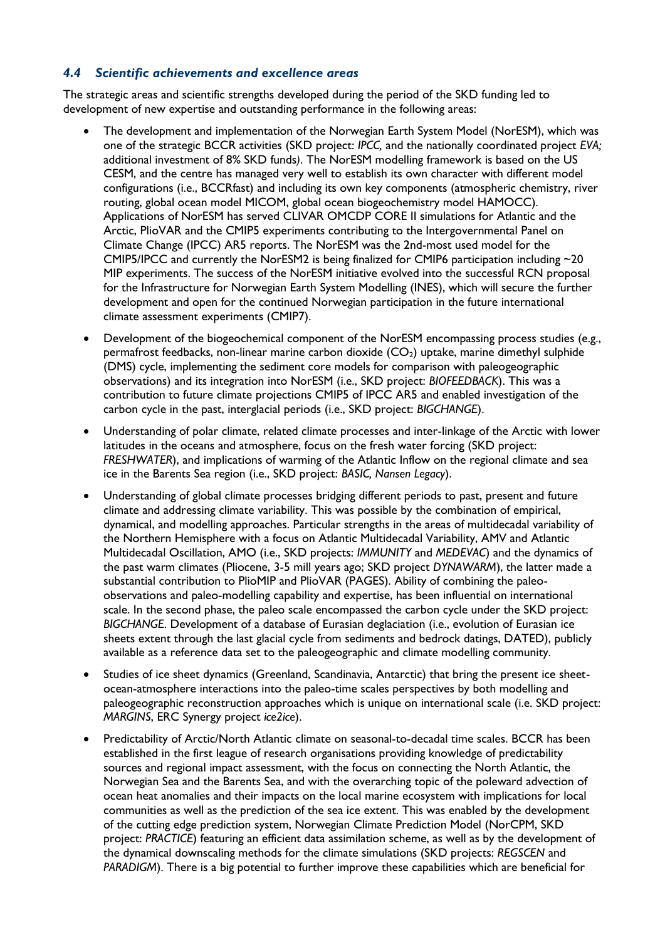#### *4.4 Scientific achievements and excellence areas*

The strategic areas and scientific strengths developed during the period of the SKD funding led to development of new expertise and outstanding performance in the following areas:

- The development and implementation of the Norwegian Earth System Model (NorESM), which was one of the strategic BCCR activities (SKD project: *IPCC,* and the nationally coordinated project *EVA;*  additional investment of 8% SKD funds*)*. The NorESM modelling framework is based on the US CESM, and the centre has managed very well to establish its own character with different model configurations (i.e., BCCRfast) and including its own key components (atmospheric chemistry, river routing, global ocean model MICOM, global ocean biogeochemistry model HAMOCC). Applications of NorESM has served CLIVAR OMCDP CORE II simulations for Atlantic and the Arctic, PlioVAR and the CMIP5 experiments contributing to the Intergovernmental Panel on Climate Change (IPCC) AR5 reports. The NorESM was the 2nd-most used model for the CMIP5/IPCC and currently the NorESM2 is being finalized for CMIP6 participation including  $\sim$ 20 MIP experiments. The success of the NorESM initiative evolved into the successful RCN proposal for the Infrastructure for Norwegian Earth System Modelling (INES), which will secure the further development and open for the continued Norwegian participation in the future international climate assessment experiments (CMIP7).
- Development of the biogeochemical component of the NorESM encompassing process studies (e.g., permafrost feedbacks, non-linear marine carbon dioxide  $(CO<sub>2</sub>)$  uptake, marine dimethyl sulphide (DMS) cycle, implementing the sediment core models for comparison with paleogeographic observations) and its integration into NorESM (i.e., SKD project: *BIOFEEDBACK*). This was a contribution to future climate projections CMIP5 of IPCC AR5 and enabled investigation of the carbon cycle in the past, interglacial periods (i.e., SKD project: *BIGCHANGE*).
- Understanding of polar climate, related climate processes and inter-linkage of the Arctic with lower latitudes in the oceans and atmosphere, focus on the fresh water forcing (SKD project: *FRESHWATER*), and implications of warming of the Atlantic Inflow on the regional climate and sea ice in the Barents Sea region (i.e., SKD project: *BASIC, Nansen Legacy*).
- Understanding of global climate processes bridging different periods to past, present and future climate and addressing climate variability. This was possible by the combination of empirical, dynamical, and modelling approaches. Particular strengths in the areas of multidecadal variability of the Northern Hemisphere with a focus on Atlantic Multidecadal Variability, AMV and Atlantic Multidecadal Oscillation, AMO (i.e., SKD projects: *IMMUNITY* and *MEDEVAC*) and the dynamics of the past warm climates (Pliocene, 3-5 mill years ago; SKD project *DYNAWARM*), the latter made a substantial contribution to PlioMIP and PlioVAR (PAGES). Ability of combining the paleoobservations and paleo-modelling capability and expertise, has been influential on international scale. In the second phase, the paleo scale encompassed the carbon cycle under the SKD project: *BIGCHANGE*. Development of a database of Eurasian deglaciation (i.e., evolution of Eurasian ice sheets extent through the last glacial cycle from sediments and bedrock datings, DATED), publicly available as a reference data set to the paleogeographic and climate modelling community.
- Studies of ice sheet dynamics (Greenland, Scandinavia, Antarctic) that bring the present ice sheetocean-atmosphere interactions into the paleo-time scales perspectives by both modelling and paleogeographic reconstruction approaches which is unique on international scale (i.e. SKD project: *MARGINS*, ERC Synergy project *ice2ice*).
- Predictability of Arctic/North Atlantic climate on seasonal-to-decadal time scales. BCCR has been established in the first league of research organisations providing knowledge of predictability sources and regional impact assessment, with the focus on connecting the North Atlantic, the Norwegian Sea and the Barents Sea, and with the overarching topic of the poleward advection of ocean heat anomalies and their impacts on the local marine ecosystem with implications for local communities as well as the prediction of the sea ice extent. This was enabled by the development of the cutting edge prediction system, Norwegian Climate Prediction Model (NorCPM, SKD project: *PRACTICE*) featuring an efficient data assimilation scheme, as well as by the development of the dynamical downscaling methods for the climate simulations (SKD projects: *REGSCEN* and *PARADIGM*). There is a big potential to further improve these capabilities which are beneficial for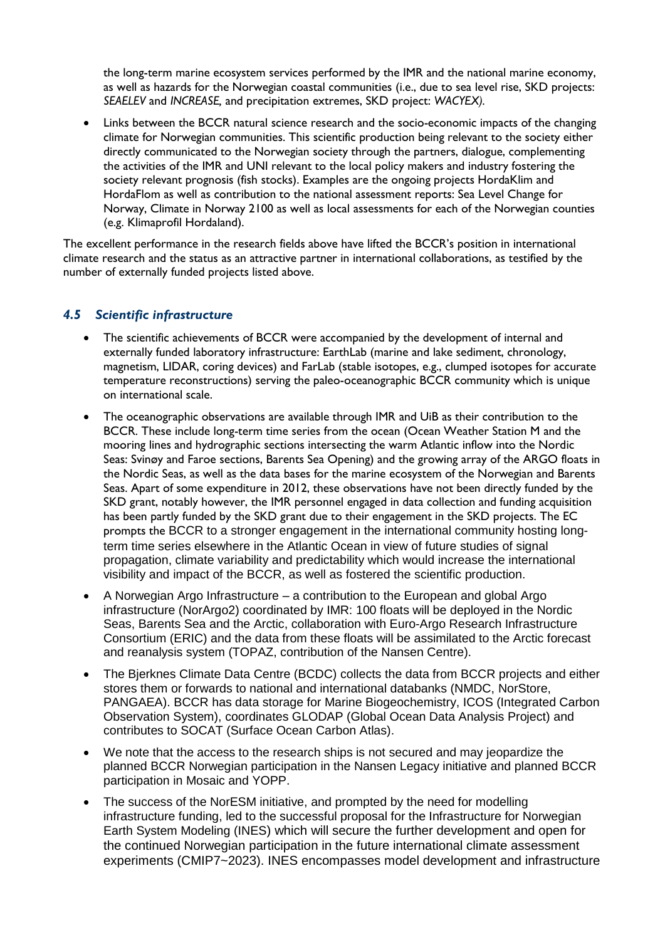the long-term marine ecosystem services performed by the IMR and the national marine economy, as well as hazards for the Norwegian coastal communities (i.e., due to sea level rise, SKD projects: *SEAELEV* and *INCREASE,* and precipitation extremes, SKD project: *WACYEX).*

 Links between the BCCR natural science research and the socio-economic impacts of the changing climate for Norwegian communities. This scientific production being relevant to the society either directly communicated to the Norwegian society through the partners, dialogue, complementing the activities of the IMR and UNI relevant to the local policy makers and industry fostering the society relevant prognosis (fish stocks). Examples are the ongoing projects HordaKlim and HordaFlom as well as contribution to the national assessment reports: Sea Level Change for Norway, Climate in Norway 2100 as well as local assessments for each of the Norwegian counties (e.g. Klimaprofil Hordaland).

The excellent performance in the research fields above have lifted the BCCR's position in international climate research and the status as an attractive partner in international collaborations, as testified by the number of externally funded projects listed above.

#### *4.5 Scientific infrastructure*

- The scientific achievements of BCCR were accompanied by the development of internal and externally funded laboratory infrastructure: EarthLab (marine and lake sediment, chronology, magnetism, LIDAR, coring devices) and FarLab (stable isotopes, e.g., clumped isotopes for accurate temperature reconstructions) serving the paleo-oceanographic BCCR community which is unique on international scale.
- The oceanographic observations are available through IMR and UiB as their contribution to the BCCR. These include long-term time series from the ocean (Ocean Weather Station M and the mooring lines and hydrographic sections intersecting the warm Atlantic inflow into the Nordic Seas: Svinøy and Faroe sections, Barents Sea Opening) and the growing array of the ARGO floats in the Nordic Seas, as well as the data bases for the marine ecosystem of the Norwegian and Barents Seas. Apart of some expenditure in 2012, these observations have not been directly funded by the SKD grant, notably however, the IMR personnel engaged in data collection and funding acquisition has been partly funded by the SKD grant due to their engagement in the SKD projects. The EC prompts the BCCR to a stronger engagement in the international community hosting longterm time series elsewhere in the Atlantic Ocean in view of future studies of signal propagation, climate variability and predictability which would increase the international visibility and impact of the BCCR, as well as fostered the scientific production.
- A Norwegian Argo Infrastructure a contribution to the European and global Argo infrastructure (NorArgo2) coordinated by IMR: 100 floats will be deployed in the Nordic Seas, Barents Sea and the Arctic, collaboration with Euro-Argo Research Infrastructure Consortium (ERIC) and the data from these floats will be assimilated to the Arctic forecast and reanalysis system (TOPAZ, contribution of the Nansen Centre).
- The Bierknes Climate Data Centre (BCDC) collects the data from BCCR projects and either stores them or forwards to national and international databanks (NMDC, NorStore, PANGAEA). BCCR has data storage for Marine Biogeochemistry, ICOS (Integrated Carbon Observation System), coordinates GLODAP (Global Ocean Data Analysis Project) and contributes to SOCAT (Surface Ocean Carbon Atlas).
- We note that the access to the research ships is not secured and may jeopardize the planned BCCR Norwegian participation in the Nansen Legacy initiative and planned BCCR participation in Mosaic and YOPP.
- The success of the NorESM initiative, and prompted by the need for modelling infrastructure funding, led to the successful proposal for the Infrastructure for Norwegian Earth System Modeling (INES) which will secure the further development and open for the continued Norwegian participation in the future international climate assessment experiments (CMIP7~2023). INES encompasses model development and infrastructure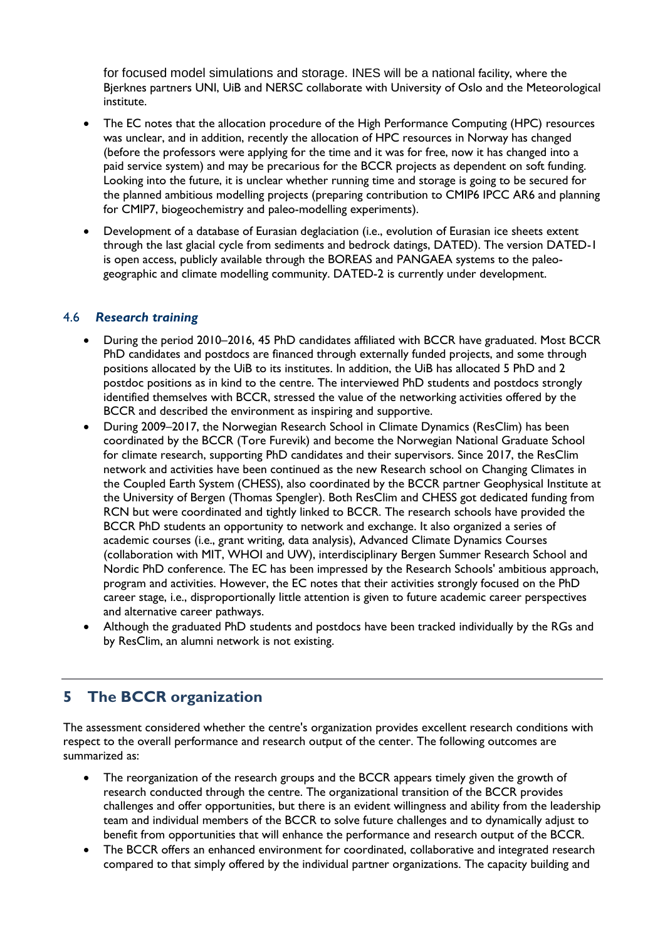for focused model simulations and storage. INES will be a national facility, where the Bjerknes partners UNI, UiB and NERSC collaborate with University of Oslo and the Meteorological institute.

- The EC notes that the allocation procedure of the High Performance Computing (HPC) resources was unclear, and in addition, recently the allocation of HPC resources in Norway has changed (before the professors were applying for the time and it was for free, now it has changed into a paid service system) and may be precarious for the BCCR projects as dependent on soft funding. Looking into the future, it is unclear whether running time and storage is going to be secured for the planned ambitious modelling projects (preparing contribution to CMIP6 IPCC AR6 and planning for CMIP7, biogeochemistry and paleo-modelling experiments).
- Development of a database of Eurasian deglaciation (i.e., evolution of Eurasian ice sheets extent through the last glacial cycle from sediments and bedrock datings, DATED). The version DATED-1 is open access, publicly available through the BOREAS and PANGAEA systems to the paleogeographic and climate modelling community. DATED-2 is currently under development.

#### 4.6 *Research training*

- During the period 2010–2016, 45 PhD candidates affiliated with BCCR have graduated. Most BCCR PhD candidates and postdocs are financed through externally funded projects, and some through positions allocated by the UiB to its institutes. In addition, the UiB has allocated 5 PhD and 2 postdoc positions as in kind to the centre. The interviewed PhD students and postdocs strongly identified themselves with BCCR, stressed the value of the networking activities offered by the BCCR and described the environment as inspiring and supportive.
- During 2009–2017, the Norwegian Research School in Climate Dynamics (ResClim) has been coordinated by the BCCR (Tore Furevik) and become the Norwegian National Graduate School for climate research, supporting PhD candidates and their supervisors. Since 2017, the ResClim network and activities have been continued as the new Research school on Changing Climates in the Coupled Earth System (CHESS), also coordinated by the BCCR partner Geophysical Institute at the University of Bergen (Thomas Spengler). Both ResClim and CHESS got dedicated funding from RCN but were coordinated and tightly linked to BCCR. The research schools have provided the BCCR PhD students an opportunity to network and exchange. It also organized a series of academic courses (i.e., grant writing, data analysis), Advanced Climate Dynamics Courses (collaboration with MIT, WHOI and UW), interdisciplinary Bergen Summer Research School and Nordic PhD conference. The EC has been impressed by the Research Schools' ambitious approach, program and activities. However, the EC notes that their activities strongly focused on the PhD career stage, i.e., disproportionally little attention is given to future academic career perspectives and alternative career pathways.
- Although the graduated PhD students and postdocs have been tracked individually by the RGs and by ResClim, an alumni network is not existing.

# **5 The BCCR organization**

The assessment considered whether the centre's organization provides excellent research conditions with respect to the overall performance and research output of the center. The following outcomes are summarized as:

- The reorganization of the research groups and the BCCR appears timely given the growth of research conducted through the centre. The organizational transition of the BCCR provides challenges and offer opportunities, but there is an evident willingness and ability from the leadership team and individual members of the BCCR to solve future challenges and to dynamically adjust to benefit from opportunities that will enhance the performance and research output of the BCCR.
- The BCCR offers an enhanced environment for coordinated, collaborative and integrated research compared to that simply offered by the individual partner organizations. The capacity building and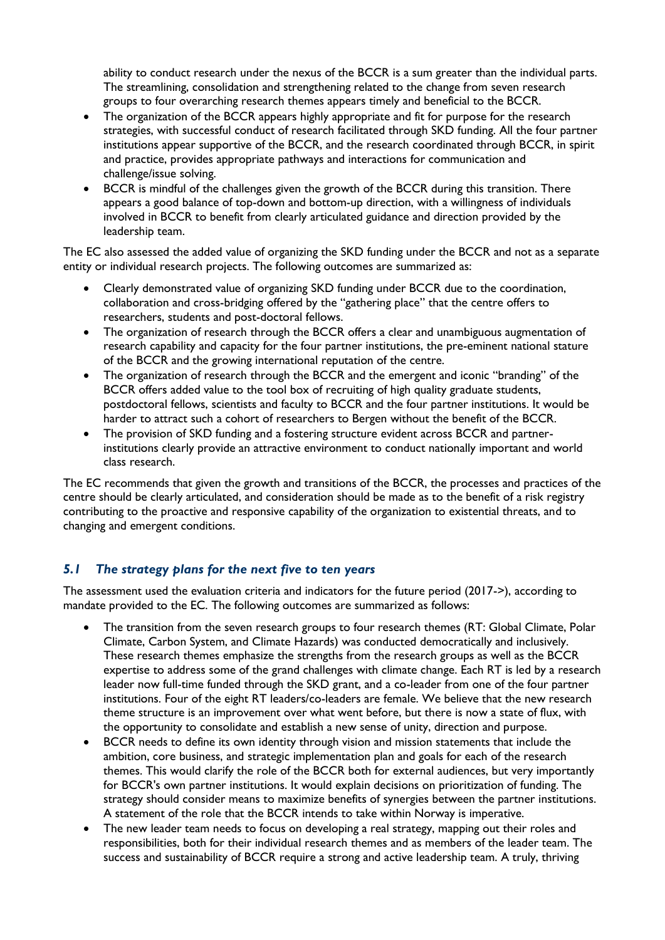ability to conduct research under the nexus of the BCCR is a sum greater than the individual parts. The streamlining, consolidation and strengthening related to the change from seven research groups to four overarching research themes appears timely and beneficial to the BCCR.

- The organization of the BCCR appears highly appropriate and fit for purpose for the research strategies, with successful conduct of research facilitated through SKD funding. All the four partner institutions appear supportive of the BCCR, and the research coordinated through BCCR, in spirit and practice, provides appropriate pathways and interactions for communication and challenge/issue solving.
- BCCR is mindful of the challenges given the growth of the BCCR during this transition. There appears a good balance of top-down and bottom-up direction, with a willingness of individuals involved in BCCR to benefit from clearly articulated guidance and direction provided by the leadership team.

The EC also assessed the added value of organizing the SKD funding under the BCCR and not as a separate entity or individual research projects. The following outcomes are summarized as:

- Clearly demonstrated value of organizing SKD funding under BCCR due to the coordination, collaboration and cross-bridging offered by the "gathering place" that the centre offers to researchers, students and post-doctoral fellows.
- The organization of research through the BCCR offers a clear and unambiguous augmentation of research capability and capacity for the four partner institutions, the pre-eminent national stature of the BCCR and the growing international reputation of the centre.
- The organization of research through the BCCR and the emergent and iconic "branding" of the BCCR offers added value to the tool box of recruiting of high quality graduate students, postdoctoral fellows, scientists and faculty to BCCR and the four partner institutions. It would be harder to attract such a cohort of researchers to Bergen without the benefit of the BCCR.
- The provision of SKD funding and a fostering structure evident across BCCR and partnerinstitutions clearly provide an attractive environment to conduct nationally important and world class research.

The EC recommends that given the growth and transitions of the BCCR, the processes and practices of the centre should be clearly articulated, and consideration should be made as to the benefit of a risk registry contributing to the proactive and responsive capability of the organization to existential threats, and to changing and emergent conditions.

### *5.1 The strategy plans for the next five to ten years*

The assessment used the evaluation criteria and indicators for the future period (2017->), according to mandate provided to the EC. The following outcomes are summarized as follows:

- The transition from the seven research groups to four research themes (RT: Global Climate, Polar Climate, Carbon System, and Climate Hazards) was conducted democratically and inclusively. These research themes emphasize the strengths from the research groups as well as the BCCR expertise to address some of the grand challenges with climate change. Each RT is led by a research leader now full-time funded through the SKD grant, and a co-leader from one of the four partner institutions. Four of the eight RT leaders/co-leaders are female. We believe that the new research theme structure is an improvement over what went before, but there is now a state of flux, with the opportunity to consolidate and establish a new sense of unity, direction and purpose.
- BCCR needs to define its own identity through vision and mission statements that include the ambition, core business, and strategic implementation plan and goals for each of the research themes. This would clarify the role of the BCCR both for external audiences, but very importantly for BCCR's own partner institutions. It would explain decisions on prioritization of funding. The strategy should consider means to maximize benefits of synergies between the partner institutions. A statement of the role that the BCCR intends to take within Norway is imperative.
- The new leader team needs to focus on developing a real strategy, mapping out their roles and responsibilities, both for their individual research themes and as members of the leader team. The success and sustainability of BCCR require a strong and active leadership team. A truly, thriving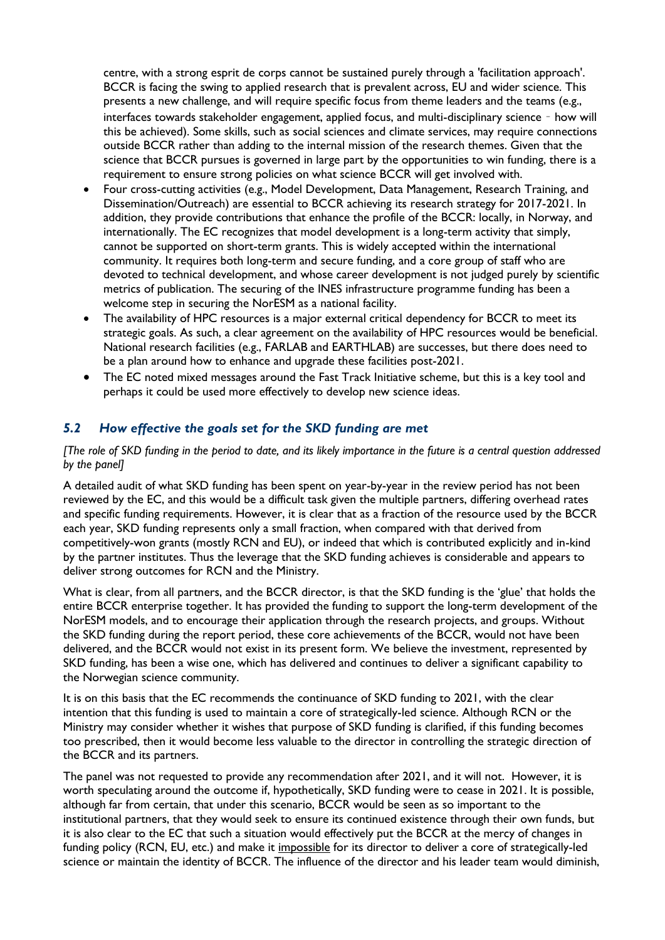centre, with a strong esprit de corps cannot be sustained purely through a 'facilitation approach'. BCCR is facing the swing to applied research that is prevalent across, EU and wider science. This presents a new challenge, and will require specific focus from theme leaders and the teams (e.g., interfaces towards stakeholder engagement, applied focus, and multi-disciplinary science – how will this be achieved). Some skills, such as social sciences and climate services, may require connections outside BCCR rather than adding to the internal mission of the research themes. Given that the science that BCCR pursues is governed in large part by the opportunities to win funding, there is a requirement to ensure strong policies on what science BCCR will get involved with.

- Four cross-cutting activities (e.g., Model Development, Data Management, Research Training, and Dissemination/Outreach) are essential to BCCR achieving its research strategy for 2017-2021. In addition, they provide contributions that enhance the profile of the BCCR: locally, in Norway, and internationally. The EC recognizes that model development is a long-term activity that simply, cannot be supported on short-term grants. This is widely accepted within the international community. It requires both long-term and secure funding, and a core group of staff who are devoted to technical development, and whose career development is not judged purely by scientific metrics of publication. The securing of the INES infrastructure programme funding has been a welcome step in securing the NorESM as a national facility.
- The availability of HPC resources is a major external critical dependency for BCCR to meet its strategic goals. As such, a clear agreement on the availability of HPC resources would be beneficial. National research facilities (e.g., FARLAB and EARTHLAB) are successes, but there does need to be a plan around how to enhance and upgrade these facilities post-2021.
- The EC noted mixed messages around the Fast Track Initiative scheme, but this is a key tool and perhaps it could be used more effectively to develop new science ideas.

### *5.2 How effective the goals set for the SKD funding are met*

#### *[The role of SKD funding in the period to date, and its likely importance in the future is a central question addressed by the panel]*

A detailed audit of what SKD funding has been spent on year-by-year in the review period has not been reviewed by the EC, and this would be a difficult task given the multiple partners, differing overhead rates and specific funding requirements. However, it is clear that as a fraction of the resource used by the BCCR each year, SKD funding represents only a small fraction, when compared with that derived from competitively-won grants (mostly RCN and EU), or indeed that which is contributed explicitly and in-kind by the partner institutes. Thus the leverage that the SKD funding achieves is considerable and appears to deliver strong outcomes for RCN and the Ministry.

What is clear, from all partners, and the BCCR director, is that the SKD funding is the 'glue' that holds the entire BCCR enterprise together. It has provided the funding to support the long-term development of the NorESM models, and to encourage their application through the research projects, and groups. Without the SKD funding during the report period, these core achievements of the BCCR, would not have been delivered, and the BCCR would not exist in its present form. We believe the investment, represented by SKD funding, has been a wise one, which has delivered and continues to deliver a significant capability to the Norwegian science community.

It is on this basis that the EC recommends the continuance of SKD funding to 2021, with the clear intention that this funding is used to maintain a core of strategically-led science. Although RCN or the Ministry may consider whether it wishes that purpose of SKD funding is clarified, if this funding becomes too prescribed, then it would become less valuable to the director in controlling the strategic direction of the BCCR and its partners.

The panel was not requested to provide any recommendation after 2021, and it will not. However, it is worth speculating around the outcome if, hypothetically, SKD funding were to cease in 2021. It is possible, although far from certain, that under this scenario, BCCR would be seen as so important to the institutional partners, that they would seek to ensure its continued existence through their own funds, but it is also clear to the EC that such a situation would effectively put the BCCR at the mercy of changes in funding policy (RCN, EU, etc.) and make it impossible for its director to deliver a core of strategically-led science or maintain the identity of BCCR. The influence of the director and his leader team would diminish,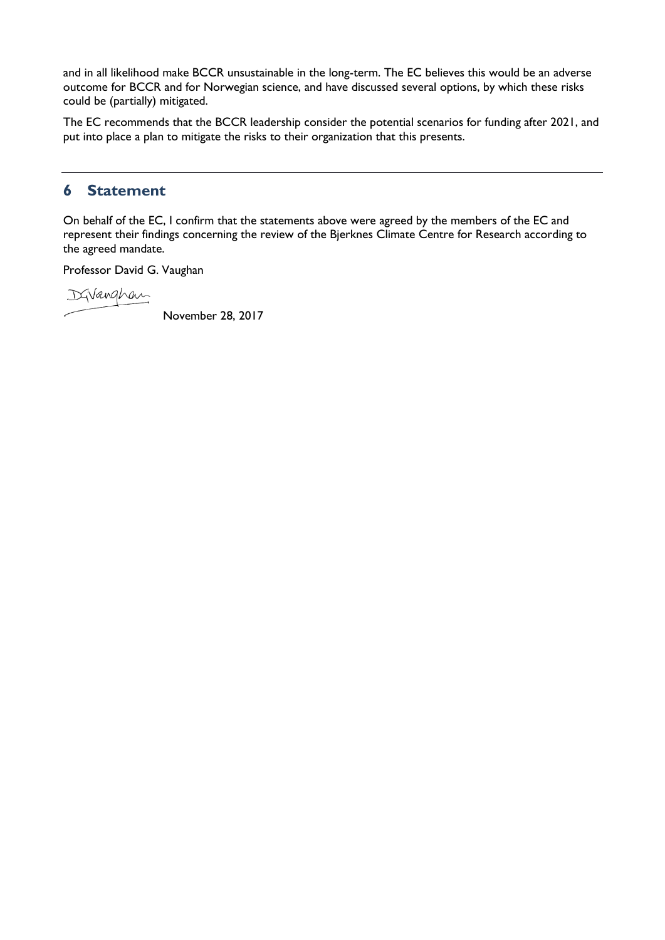and in all likelihood make BCCR unsustainable in the long-term. The EC believes this would be an adverse outcome for BCCR and for Norwegian science, and have discussed several options, by which these risks could be (partially) mitigated.

The EC recommends that the BCCR leadership consider the potential scenarios for funding after 2021, and put into place a plan to mitigate the risks to their organization that this presents.

### **6 Statement**

On behalf of the EC, I confirm that the statements above were agreed by the members of the EC and represent their findings concerning the review of the Bjerknes Climate Centre for Research according to the agreed mandate.

Professor David G. Vaughan

DGVanghan

November 28, 2017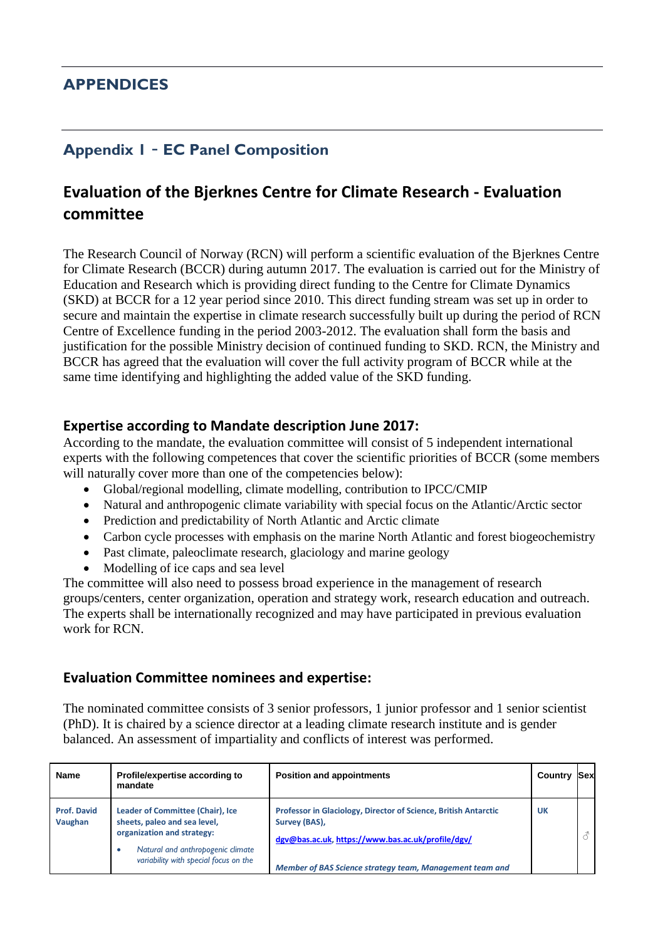# **APPENDICES**

# **Appendix 1** – **EC Panel Composition**

# **Evaluation of the Bjerknes Centre for Climate Research - Evaluation committee**

The Research Council of Norway (RCN) will perform a scientific evaluation of the Bjerknes Centre for Climate Research (BCCR) during autumn 2017. The evaluation is carried out for the Ministry of Education and Research which is providing direct funding to the Centre for Climate Dynamics (SKD) at BCCR for a 12 year period since 2010. This direct funding stream was set up in order to secure and maintain the expertise in climate research successfully built up during the period of RCN Centre of Excellence funding in the period 2003-2012. The evaluation shall form the basis and justification for the possible Ministry decision of continued funding to SKD. RCN, the Ministry and BCCR has agreed that the evaluation will cover the full activity program of BCCR while at the same time identifying and highlighting the added value of the SKD funding.

### **Expertise according to Mandate description June 2017:**

According to the mandate, the evaluation committee will consist of 5 independent international experts with the following competences that cover the scientific priorities of BCCR (some members will naturally cover more than one of the competencies below):

- Global/regional modelling, climate modelling, contribution to IPCC/CMIP
- Natural and anthropogenic climate variability with special focus on the Atlantic/Arctic sector
- Prediction and predictability of North Atlantic and Arctic climate
- Carbon cycle processes with emphasis on the marine North Atlantic and forest biogeochemistry
- Past climate, paleoclimate research, glaciology and marine geology
- Modelling of ice caps and sea level

The committee will also need to possess broad experience in the management of research groups/centers, center organization, operation and strategy work, research education and outreach. The experts shall be internationally recognized and may have participated in previous evaluation work for RCN.

### **Evaluation Committee nominees and expertise:**

The nominated committee consists of 3 senior professors, 1 junior professor and 1 senior scientist (PhD). It is chaired by a science director at a leading climate research institute and is gender balanced. An assessment of impartiality and conflicts of interest was performed.

| <b>Name</b>                   | Profile/expertise according to<br>mandate                                                                                                                                         | <b>Position and appointments</b>                                                                                                                                                                  | Country | ISexl |
|-------------------------------|-----------------------------------------------------------------------------------------------------------------------------------------------------------------------------------|---------------------------------------------------------------------------------------------------------------------------------------------------------------------------------------------------|---------|-------|
| <b>Prof. David</b><br>Vaughan | Leader of Committee (Chair), Ice<br>sheets, paleo and sea level,<br>organization and strategy:<br>Natural and anthropogenic climate<br>٠<br>variability with special focus on the | Professor in Glaciology, Director of Science, British Antarctic<br>Survey (BAS),<br>dgv@bas.ac.uk, https://www.bas.ac.uk/profile/dgv/<br>Member of BAS Science strategy team, Management team and | UK      |       |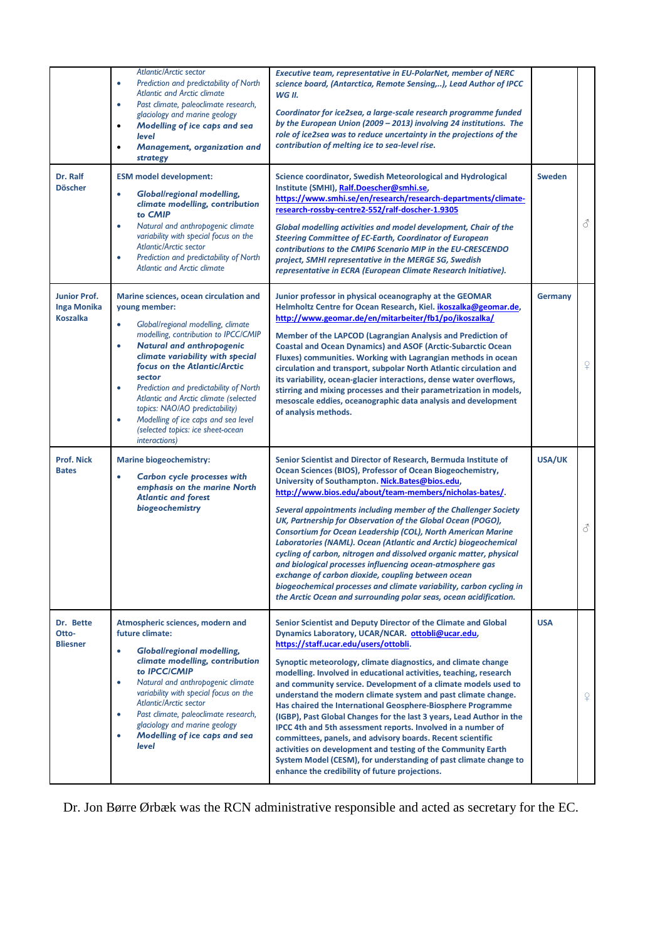|                                                              | <b>Atlantic/Arctic sector</b><br>Prediction and predictability of North<br>$\bullet$<br><b>Atlantic and Arctic climate</b><br>Past climate, paleoclimate research,<br>$\bullet$<br>glaciology and marine geology<br>Modelling of ice caps and sea<br>$\bullet$<br><b>level</b><br>Management, organization and<br>$\bullet$<br>strategy                                                                                                                                                                                       | <b>Executive team, representative in EU-PolarNet, member of NERC</b><br>science board, (Antarctica, Remote Sensing,), Lead Author of IPCC<br>WG II.<br>Coordinator for ice2sea, a large-scale research programme funded<br>by the European Union (2009 - 2013) involving 24 institutions. The<br>role of ice2sea was to reduce uncertainty in the projections of the<br>contribution of melting ice to sea-level rise.                                                                                                                                                                                                                                                                                                                                                                                                                                                                           |                |                |
|--------------------------------------------------------------|-------------------------------------------------------------------------------------------------------------------------------------------------------------------------------------------------------------------------------------------------------------------------------------------------------------------------------------------------------------------------------------------------------------------------------------------------------------------------------------------------------------------------------|--------------------------------------------------------------------------------------------------------------------------------------------------------------------------------------------------------------------------------------------------------------------------------------------------------------------------------------------------------------------------------------------------------------------------------------------------------------------------------------------------------------------------------------------------------------------------------------------------------------------------------------------------------------------------------------------------------------------------------------------------------------------------------------------------------------------------------------------------------------------------------------------------|----------------|----------------|
| Dr. Ralf<br><b>Döscher</b>                                   | <b>ESM model development:</b><br><b>Global/regional modelling,</b><br>$\bullet$<br>climate modelling, contribution<br>to CMIP<br>Natural and anthropogenic climate<br>$\bullet$<br>variability with special focus on the<br><b>Atlantic/Arctic sector</b><br>Prediction and predictability of North<br>$\bullet$<br><b>Atlantic and Arctic climate</b>                                                                                                                                                                        | <b>Science coordinator, Swedish Meteorological and Hydrological</b><br>Institute (SMHI), Ralf.Doescher@smhi.se,<br>https://www.smhi.se/en/research/research-departments/climate-<br>research-rossby-centre2-552/ralf-doscher-1.9305<br>Global modelling activities and model development, Chair of the<br><b>Steering Committee of EC-Earth, Coordinator of European</b><br>contributions to the CMIP6 Scenario MIP in the EU-CRESCENDO<br>project, SMHI representative in the MERGE SG, Swedish<br>representative in ECRA (European Climate Research Initiative).                                                                                                                                                                                                                                                                                                                               | <b>Sweden</b>  | 8              |
| <b>Junior Prof.</b><br><b>Inga Monika</b><br><b>Koszalka</b> | Marine sciences, ocean circulation and<br>young member:<br>Global/regional modelling, climate<br>$\bullet$<br>modelling, contribution to IPCC/CMIP<br><b>Natural and anthropogenic</b><br>$\bullet$<br>climate variability with special<br>focus on the Atlantic/Arctic<br>sector<br>Prediction and predictability of North<br>$\bullet$<br>Atlantic and Arctic climate (selected<br>topics: NAO/AO predictability)<br>Modelling of ice caps and sea level<br>$\bullet$<br>(selected topics: ice sheet-ocean<br>interactions) | Junior professor in physical oceanography at the GEOMAR<br>Helmholtz Centre for Ocean Research, Kiel. ikoszalka@geomar.de,<br>http://www.geomar.de/en/mitarbeiter/fb1/po/ikoszalka/<br>Member of the LAPCOD (Lagrangian Analysis and Prediction of<br><b>Coastal and Ocean Dynamics) and ASOF (Arctic-Subarctic Ocean</b><br>Fluxes) communities. Working with Lagrangian methods in ocean<br>circulation and transport, subpolar North Atlantic circulation and<br>its variability, ocean-glacier interactions, dense water overflows,<br>stirring and mixing processes and their parametrization in models,<br>mesoscale eddies, oceanographic data analysis and development<br>of analysis methods.                                                                                                                                                                                           | <b>Germany</b> | $\Omega$       |
| <b>Prof. Nick</b><br><b>Bates</b>                            | <b>Marine biogeochemistry:</b><br>Carbon cycle processes with<br>$\bullet$<br>emphasis on the marine North<br><b>Atlantic and forest</b><br>biogeochemistry                                                                                                                                                                                                                                                                                                                                                                   | Senior Scientist and Director of Research, Bermuda Institute of<br>Ocean Sciences (BIOS), Professor of Ocean Biogeochemistry,<br>University of Southampton. Nick.Bates@bios.edu,<br>http://www.bios.edu/about/team-members/nicholas-bates/.<br>Several appointments including member of the Challenger Society<br>UK, Partnership for Observation of the Global Ocean (POGO),<br>Consortium for Ocean Leadership (COL), North American Marine<br>Laboratories (NAML). Ocean (Atlantic and Arctic) biogeochemical<br>cycling of carbon, nitrogen and dissolved organic matter, physical<br>and biological processes influencing ocean-atmosphere gas<br>exchange of carbon dioxide, coupling between ocean<br>biogeochemical processes and climate variability, carbon cycling in<br>the Arctic Ocean and surrounding polar seas, ocean acidification.                                            | <b>USA/UK</b>  | 8              |
| Dr. Bette<br>Otto-<br><b>Bliesner</b>                        | Atmospheric sciences, modern and<br>future climate:<br>$\bullet$<br><b>Global/regional modelling,</b><br>climate modelling, contribution<br>to <b>IPCC/CMIP</b><br>Natural and anthropogenic climate<br>$\bullet$<br>variability with special focus on the<br><b>Atlantic/Arctic sector</b><br>Past climate, paleoclimate research,<br>$\bullet$<br>glaciology and marine geology<br>Modelling of ice caps and sea<br>$\bullet$<br><b>level</b>                                                                               | Senior Scientist and Deputy Director of the Climate and Global<br>Dynamics Laboratory, UCAR/NCAR. ottobli@ucar.edu,<br>https://staff.ucar.edu/users/ottobli.<br>Synoptic meteorology, climate diagnostics, and climate change<br>modelling. Involved in educational activities, teaching, research<br>and community service. Development of a climate models used to<br>understand the modern climate system and past climate change.<br>Has chaired the International Geosphere-Biosphere Programme<br>(IGBP), Past Global Changes for the last 3 years, Lead Author in the<br>IPCC 4th and 5th assessment reports. Involved in a number of<br>committees, panels, and advisory boards. Recent scientific<br>activities on development and testing of the Community Earth<br>System Model (CESM), for understanding of past climate change to<br>enhance the credibility of future projections. | <b>USA</b>     | $\overline{P}$ |

Dr. Jon Børre Ørbæk was the RCN administrative responsible and acted as secretary for the EC.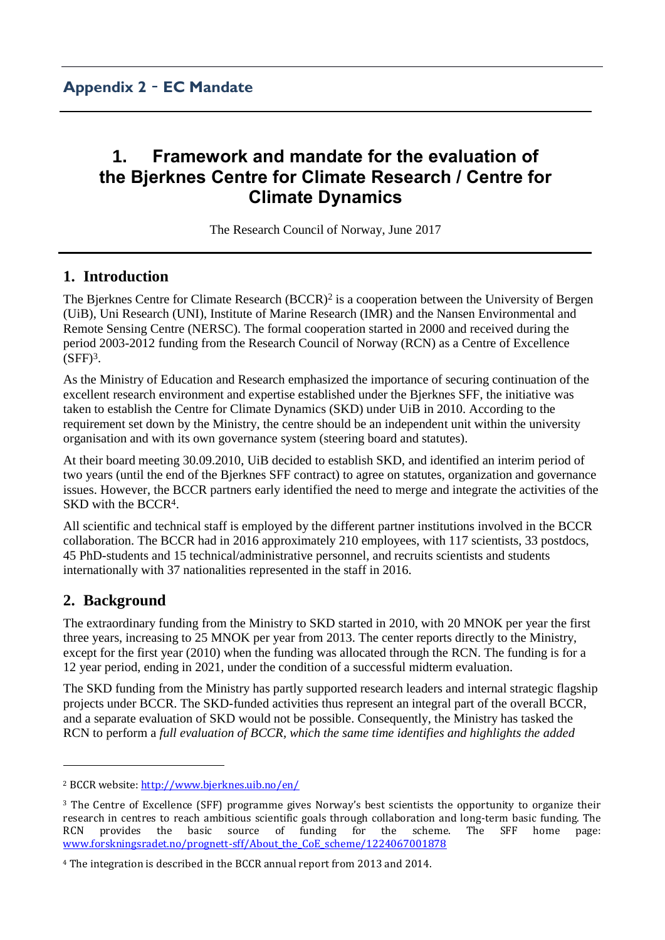# **1. Framework and mandate for the evaluation of the Bjerknes Centre for Climate Research / Centre for Climate Dynamics**

The Research Council of Norway, June 2017

# **1. Introduction**

The Bjerknes Centre for Climate Research (BCCR)<sup>2</sup> is a cooperation between the University of Bergen (UiB), Uni Research (UNI), Institute of Marine Research (IMR) and the Nansen Environmental and Remote Sensing Centre (NERSC). The formal cooperation started in 2000 and received during the period 2003-2012 funding from the Research Council of Norway (RCN) as a Centre of Excellence  $(SFF)<sup>3</sup>$ .

As the Ministry of Education and Research emphasized the importance of securing continuation of the excellent research environment and expertise established under the Bjerknes SFF, the initiative was taken to establish the Centre for Climate Dynamics (SKD) under UiB in 2010. According to the requirement set down by the Ministry, the centre should be an independent unit within the university organisation and with its own governance system (steering board and statutes).

At their board meeting 30.09.2010, UiB decided to establish SKD, and identified an interim period of two years (until the end of the Bjerknes SFF contract) to agree on statutes, organization and governance issues. However, the BCCR partners early identified the need to merge and integrate the activities of the SKD with the BCCR<sup>4</sup>.

All scientific and technical staff is employed by the different partner institutions involved in the BCCR collaboration. The BCCR had in 2016 approximately 210 employees, with 117 scientists, 33 postdocs, 45 PhD-students and 15 technical/administrative personnel, and recruits scientists and students internationally with 37 nationalities represented in the staff in 2016.

# **2. Background**

 $\overline{\phantom{a}}$ 

The extraordinary funding from the Ministry to SKD started in 2010, with 20 MNOK per year the first three years, increasing to 25 MNOK per year from 2013. The center reports directly to the Ministry, except for the first year (2010) when the funding was allocated through the RCN. The funding is for a 12 year period, ending in 2021, under the condition of a successful midterm evaluation.

The SKD funding from the Ministry has partly supported research leaders and internal strategic flagship projects under BCCR. The SKD-funded activities thus represent an integral part of the overall BCCR, and a separate evaluation of SKD would not be possible. Consequently, the Ministry has tasked the RCN to perform a *full evaluation of BCCR, which the same time identifies and highlights the added* 

<sup>2</sup> BCCR website[: http://www.bjerknes.uib.no/en/](http://www.bjerknes.uib.no/en/) 

<sup>3</sup> The Centre of Excellence (SFF) programme gives Norway's best scientists the opportunity to organize their research in centres to reach ambitious scientific goals through collaboration and long-term basic funding. The RCN provides the basic source of funding for the scheme. The SFF home page: www.forskningsradet.no/prognett-sff/About the CoE scheme/1224067001878

<sup>4</sup> The integration is described in the BCCR annual report from 2013 and 2014.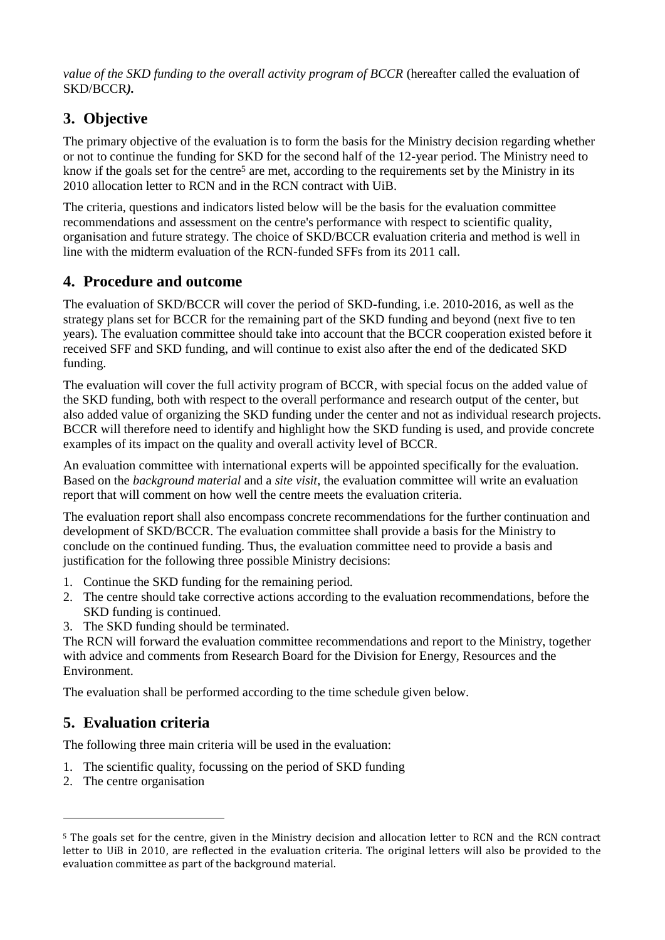*value of the SKD funding to the overall activity program of BCCR* (hereafter called the evaluation of SKD/BCCR*).*

# **3. Objective**

The primary objective of the evaluation is to form the basis for the Ministry decision regarding whether or not to continue the funding for SKD for the second half of the 12-year period. The Ministry need to know if the goals set for the centre<sup>5</sup> are met, according to the requirements set by the Ministry in its 2010 allocation letter to RCN and in the RCN contract with UiB.

The criteria, questions and indicators listed below will be the basis for the evaluation committee recommendations and assessment on the centre's performance with respect to scientific quality, organisation and future strategy. The choice of SKD/BCCR evaluation criteria and method is well in line with the midterm evaluation of the RCN-funded SFFs from its 2011 call.

# **4. Procedure and outcome**

The evaluation of SKD/BCCR will cover the period of SKD-funding, i.e. 2010-2016, as well as the strategy plans set for BCCR for the remaining part of the SKD funding and beyond (next five to ten years). The evaluation committee should take into account that the BCCR cooperation existed before it received SFF and SKD funding, and will continue to exist also after the end of the dedicated SKD funding.

The evaluation will cover the full activity program of BCCR, with special focus on the added value of the SKD funding, both with respect to the overall performance and research output of the center, but also added value of organizing the SKD funding under the center and not as individual research projects. BCCR will therefore need to identify and highlight how the SKD funding is used, and provide concrete examples of its impact on the quality and overall activity level of BCCR.

An evaluation committee with international experts will be appointed specifically for the evaluation. Based on the *background material* and a *site visit*, the evaluation committee will write an evaluation report that will comment on how well the centre meets the evaluation criteria.

The evaluation report shall also encompass concrete recommendations for the further continuation and development of SKD/BCCR. The evaluation committee shall provide a basis for the Ministry to conclude on the continued funding. Thus, the evaluation committee need to provide a basis and justification for the following three possible Ministry decisions:

- 1. Continue the SKD funding for the remaining period.
- 2. The centre should take corrective actions according to the evaluation recommendations, before the SKD funding is continued.
- 3. The SKD funding should be terminated.

The RCN will forward the evaluation committee recommendations and report to the Ministry, together with advice and comments from Research Board for the Division for Energy, Resources and the Environment.

The evaluation shall be performed according to the time schedule given below.

# **5. Evaluation criteria**

The following three main criteria will be used in the evaluation:

- 1. The scientific quality, focussing on the period of SKD funding
- 2. The centre organisation

1

<sup>5</sup> The goals set for the centre, given in the Ministry decision and allocation letter to RCN and the RCN contract letter to UiB in 2010, are reflected in the evaluation criteria. The original letters will also be provided to the evaluation committee as part of the background material.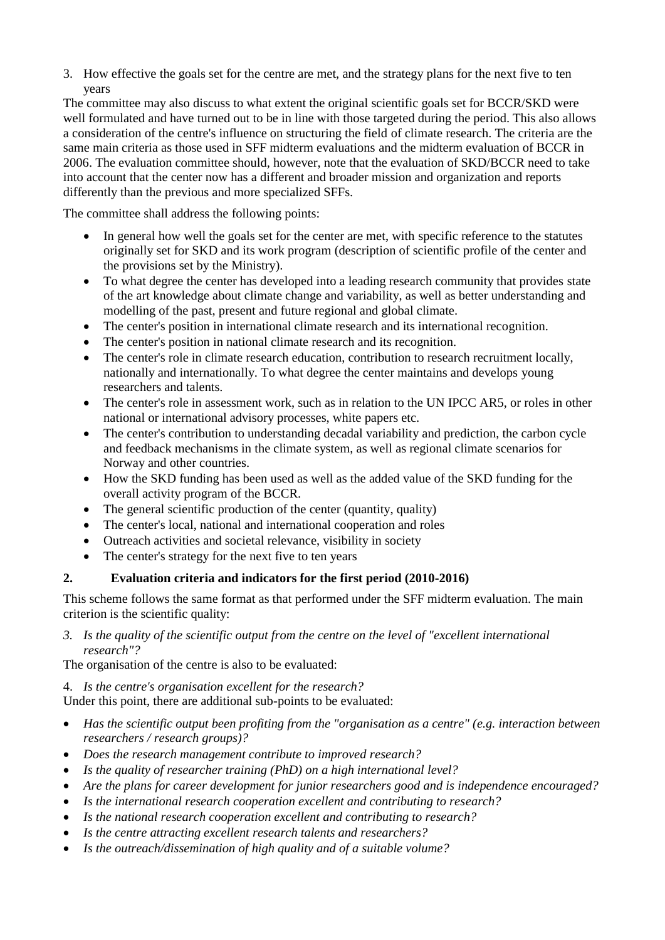3. How effective the goals set for the centre are met, and the strategy plans for the next five to ten years

The committee may also discuss to what extent the original scientific goals set for BCCR/SKD were well formulated and have turned out to be in line with those targeted during the period. This also allows a consideration of the centre's influence on structuring the field of climate research. The criteria are the same main criteria as those used in SFF midterm evaluations and the midterm evaluation of BCCR in 2006. The evaluation committee should, however, note that the evaluation of SKD/BCCR need to take into account that the center now has a different and broader mission and organization and reports differently than the previous and more specialized SFFs.

The committee shall address the following points:

- In general how well the goals set for the center are met, with specific reference to the statutes originally set for SKD and its work program (description of scientific profile of the center and the provisions set by the Ministry).
- To what degree the center has developed into a leading research community that provides state of the art knowledge about climate change and variability, as well as better understanding and modelling of the past, present and future regional and global climate.
- The center's position in international climate research and its international recognition.
- The center's position in national climate research and its recognition.
- The center's role in climate research education, contribution to research recruitment locally, nationally and internationally. To what degree the center maintains and develops young researchers and talents.
- The center's role in assessment work, such as in relation to the UN IPCC AR5, or roles in other national or international advisory processes, white papers etc.
- The center's contribution to understanding decadal variability and prediction, the carbon cycle and feedback mechanisms in the climate system, as well as regional climate scenarios for Norway and other countries.
- How the SKD funding has been used as well as the added value of the SKD funding for the overall activity program of the BCCR.
- $\bullet$  The general scientific production of the center (quantity, quality)
- The center's local, national and international cooperation and roles
- Outreach activities and societal relevance, visibility in society
- The center's strategy for the next five to ten years

### **2. Evaluation criteria and indicators for the first period (2010-2016)**

This scheme follows the same format as that performed under the SFF midterm evaluation. The main criterion is the scientific quality:

*3. Is the quality of the scientific output from the centre on the level of "excellent international research"?*

The organisation of the centre is also to be evaluated:

4. *Is the centre's organisation excellent for the research?*

Under this point, there are additional sub-points to be evaluated:

- *Has the scientific output been profiting from the "organisation as a centre" (e.g. interaction between researchers / research groups)?*
- *Does the research management contribute to improved research?*
- *Is the quality of researcher training (PhD) on a high international level?*
- *Are the plans for career development for junior researchers good and is independence encouraged?*
- *Is the international research cooperation excellent and contributing to research?*
- *Is the national research cooperation excellent and contributing to research?*
- *Is the centre attracting excellent research talents and researchers?*
- *Is the outreach/dissemination of high quality and of a suitable volume?*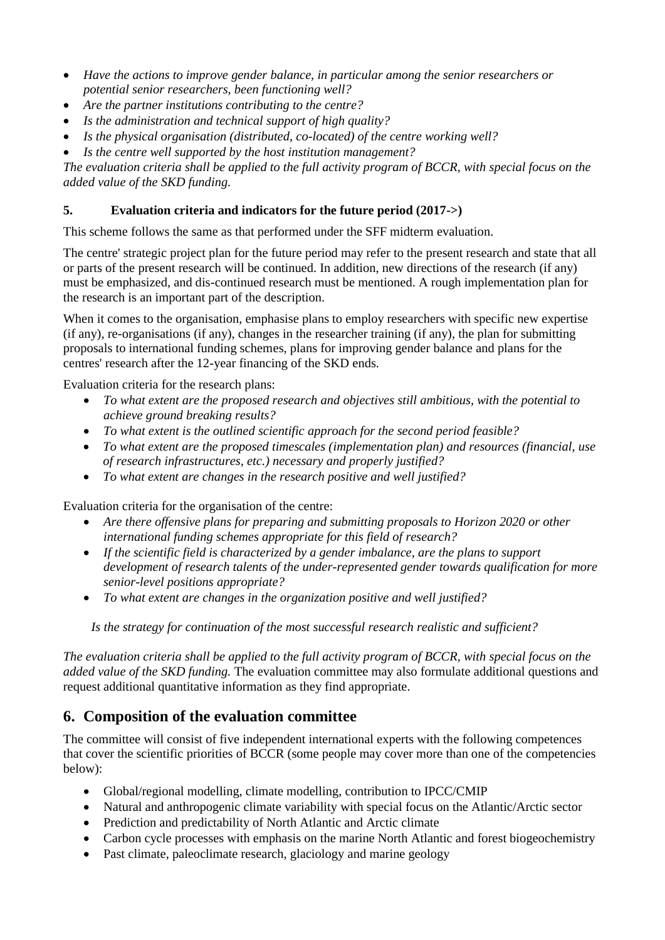- *Have the actions to improve gender balance, in particular among the senior researchers or potential senior researchers, been functioning well?*
- *Are the partner institutions contributing to the centre?*
- *Is the administration and technical support of high quality?*
- *Is the physical organisation (distributed, co-located) of the centre working well?*
- *Is the centre well supported by the host institution management?*

*The evaluation criteria shall be applied to the full activity program of BCCR, with special focus on the added value of the SKD funding.*

### **5. Evaluation criteria and indicators for the future period (2017->)**

This scheme follows the same as that performed under the SFF midterm evaluation.

The centre' strategic project plan for the future period may refer to the present research and state that all or parts of the present research will be continued. In addition, new directions of the research (if any) must be emphasized, and dis-continued research must be mentioned. A rough implementation plan for the research is an important part of the description.

When it comes to the organisation, emphasise plans to employ researchers with specific new expertise (if any), re-organisations (if any), changes in the researcher training (if any), the plan for submitting proposals to international funding schemes, plans for improving gender balance and plans for the centres' research after the 12-year financing of the SKD ends.

Evaluation criteria for the research plans:

- *To what extent are the proposed research and objectives still ambitious, with the potential to achieve ground breaking results?*
- *To what extent is the outlined scientific approach for the second period feasible?*
- *To what extent are the proposed timescales (implementation plan) and resources (financial, use of research infrastructures, etc.) necessary and properly justified?*
- *To what extent are changes in the research positive and well justified?*

Evaluation criteria for the organisation of the centre:

- *Are there offensive plans for preparing and submitting proposals to Horizon 2020 or other international funding schemes appropriate for this field of research?*
- *If the scientific field is characterized by a gender imbalance, are the plans to support development of research talents of the under-represented gender towards qualification for more senior-level positions appropriate?*
- *To what extent are changes in the organization positive and well justified?*

*Is the strategy for continuation of the most successful research realistic and sufficient?*

*The evaluation criteria shall be applied to the full activity program of BCCR, with special focus on the added value of the SKD funding.* The evaluation committee may also formulate additional questions and request additional quantitative information as they find appropriate.

# **6. Composition of the evaluation committee**

The committee will consist of five independent international experts with the following competences that cover the scientific priorities of BCCR (some people may cover more than one of the competencies below):

- Global/regional modelling, climate modelling, contribution to IPCC/CMIP
- Natural and anthropogenic climate variability with special focus on the Atlantic/Arctic sector
- Prediction and predictability of North Atlantic and Arctic climate
- Carbon cycle processes with emphasis on the marine North Atlantic and forest biogeochemistry
- Past climate, paleoclimate research, glaciology and marine geology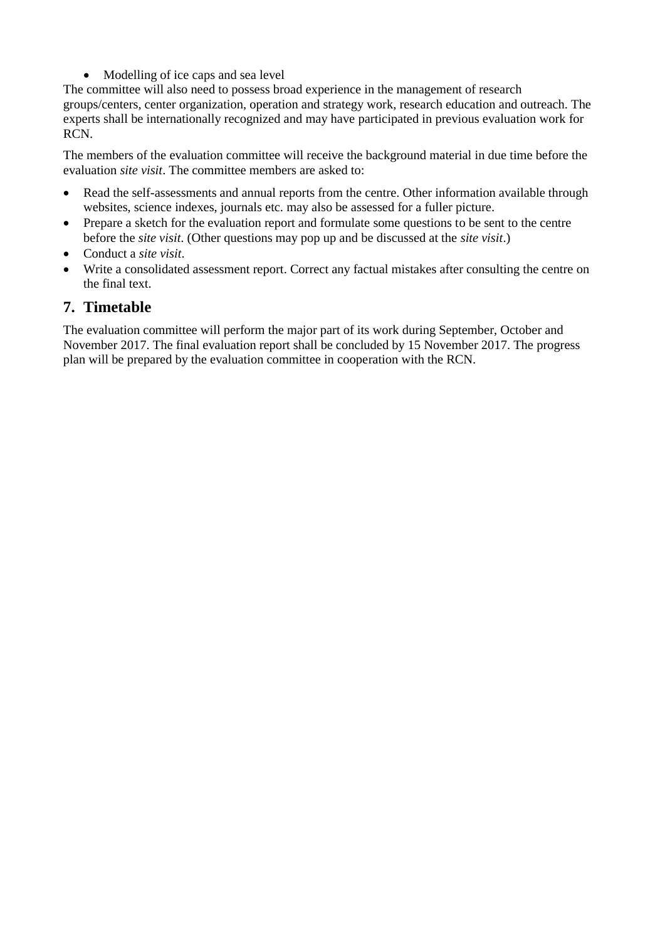• Modelling of ice caps and sea level

The committee will also need to possess broad experience in the management of research groups/centers, center organization, operation and strategy work, research education and outreach. The experts shall be internationally recognized and may have participated in previous evaluation work for RCN.

The members of the evaluation committee will receive the background material in due time before the evaluation *site visit*. The committee members are asked to:

- Read the self-assessments and annual reports from the centre. Other information available through websites, science indexes, journals etc. may also be assessed for a fuller picture.
- Prepare a sketch for the evaluation report and formulate some questions to be sent to the centre before the *site visit*. (Other questions may pop up and be discussed at the *site visit*.)
- Conduct a *site visit*.
- Write a consolidated assessment report. Correct any factual mistakes after consulting the centre on the final text.

### **7. Timetable**

The evaluation committee will perform the major part of its work during September, October and November 2017. The final evaluation report shall be concluded by 15 November 2017. The progress plan will be prepared by the evaluation committee in cooperation with the RCN.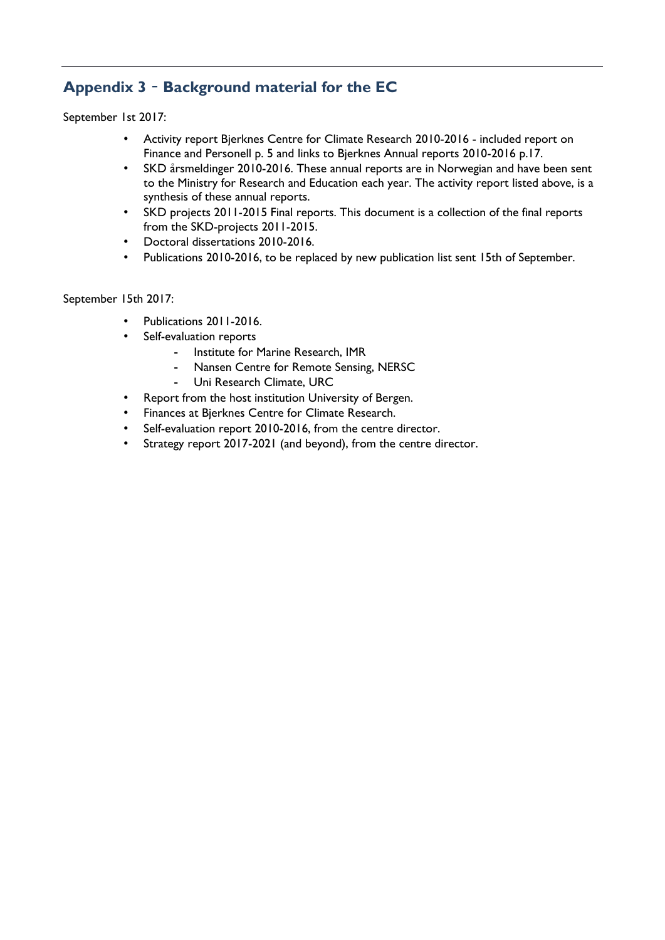# **Appendix 3** – **Background material for the EC**

September 1st 2017:

- Activity report Bjerknes Centre for Climate Research 2010-2016 included report on Finance and Personell p. 5 and links to Bjerknes Annual reports 2010-2016 p.17.
- SKD årsmeldinger 2010-2016. These annual reports are in Norwegian and have been sent to the Ministry for Research and Education each year. The activity report listed above, is a synthesis of these annual reports.
- SKD projects 2011-2015 Final reports. This document is a collection of the final reports from the SKD-projects 2011-2015.
- Doctoral dissertations 2010-2016.
- Publications 2010-2016, to be replaced by new publication list sent 15th of September.

September 15th 2017:

- Publications 2011-2016.
- Self-evaluation reports
	- Institute for Marine Research, IMR
	- Nansen Centre for Remote Sensing, NERSC
	- Uni Research Climate, URC
- Report from the host institution University of Bergen.
- Finances at Bjerknes Centre for Climate Research.
- Self-evaluation report 2010-2016, from the centre director.
- Strategy report 2017-2021 (and beyond), from the centre director.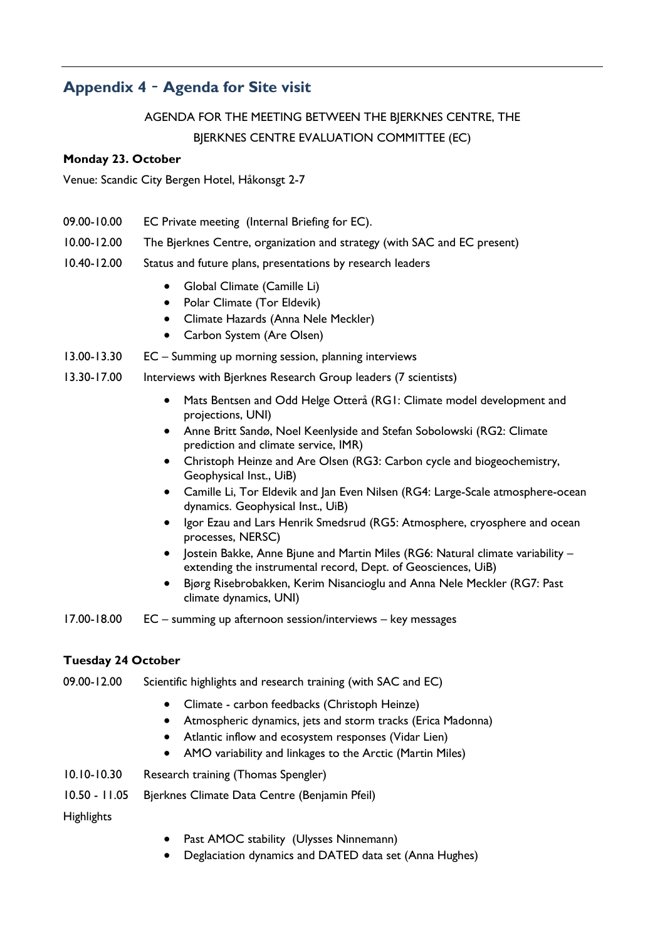# **Appendix 4** – **Agenda for Site visit**

AGENDA FOR THE MEETING BETWEEN THE BJERKNES CENTRE, THE BJERKNES CENTRE EVALUATION COMMITTEE (EC)

#### **Monday 23. October**

Venue: Scandic City Bergen Hotel, Håkonsgt 2-7

- 09.00-10.00 EC Private meeting (Internal Briefing for EC).
- 10.00-12.00 The Bjerknes Centre, organization and strategy (with SAC and EC present)
- 10.40-12.00 Status and future plans, presentations by research leaders
	- Global Climate (Camille Li)
	- Polar Climate (Tor Eldevik)
	- Climate Hazards (Anna Nele Meckler)
	- Carbon System (Are Olsen)
- 13.00-13.30 EC Summing up morning session, planning interviews
- 13.30-17.00 Interviews with Bjerknes Research Group leaders (7 scientists)
	- Mats Bentsen and Odd Helge Otterå (RG1: Climate model development and projections, UNI)
	- Anne Britt Sandø, Noel Keenlyside and Stefan Sobolowski (RG2: Climate prediction and climate service, IMR)
	- Christoph Heinze and Are Olsen (RG3: Carbon cycle and biogeochemistry, Geophysical Inst., UiB)
	- Camille Li, Tor Eldevik and Jan Even Nilsen (RG4: Large-Scale atmosphere-ocean dynamics. Geophysical Inst., UiB)
	- Igor Ezau and Lars Henrik Smedsrud (RG5: Atmosphere, cryosphere and ocean processes, NERSC)
	- Jostein Bakke, Anne Bjune and Martin Miles (RG6: Natural climate variability extending the instrumental record, Dept. of Geosciences, UiB)
	- Bjørg Risebrobakken, Kerim Nisancioglu and Anna Nele Meckler (RG7: Past climate dynamics, UNI)

17.00-18.00 EC – summing up afternoon session/interviews – key messages

#### **Tuesday 24 October**

- 09.00-12.00 Scientific highlights and research training (with SAC and EC)
	- Climate carbon feedbacks (Christoph Heinze)
	- Atmospheric dynamics, jets and storm tracks (Erica Madonna)
	- Atlantic inflow and ecosystem responses (Vidar Lien)
	- AMO variability and linkages to the Arctic (Martin Miles)
- 10.10-10.30 Research training (Thomas Spengler)
- 10.50 11.05 Bjerknes Climate Data Centre (Benjamin Pfeil)

**Highlights** 

- Past AMOC stability (Ulysses Ninnemann)
- Deglaciation dynamics and DATED data set (Anna Hughes)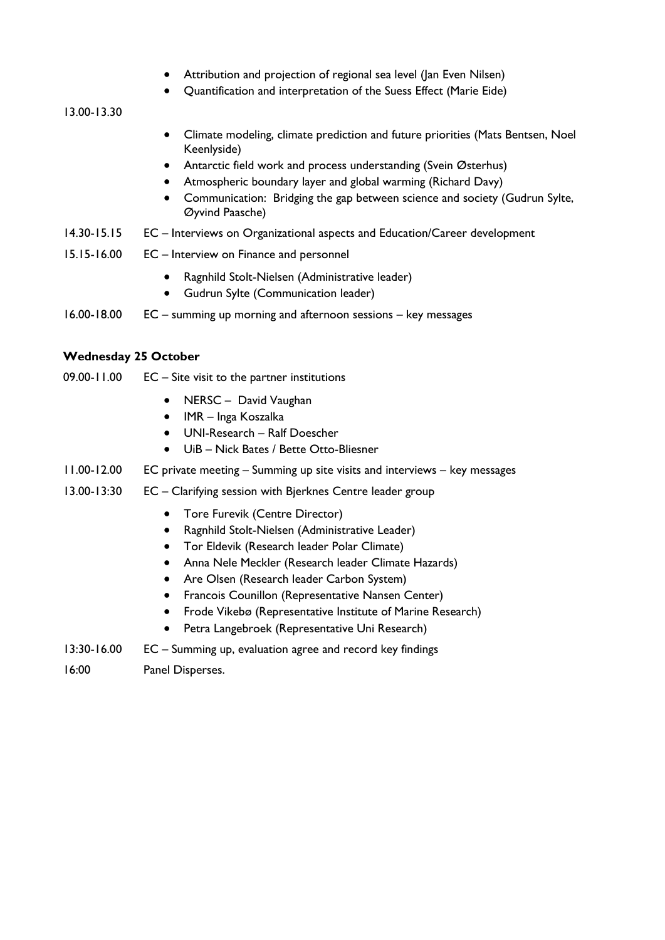- Attribution and projection of regional sea level (Jan Even Nilsen)
- Quantification and interpretation of the Suess Effect (Marie Eide)

13.00-13.30

- Climate modeling, climate prediction and future priorities (Mats Bentsen, Noel Keenlyside)
- Antarctic field work and process understanding (Svein Østerhus)
- Atmospheric boundary layer and global warming (Richard Davy)
- Communication: Bridging the gap between science and society (Gudrun Sylte, Øyvind Paasche)
- 14.30-15.15 EC Interviews on Organizational aspects and Education/Career development
- 15.15-16.00 EC Interview on Finance and personnel
	- Ragnhild Stolt-Nielsen (Administrative leader)
	- Gudrun Sylte (Communication leader)
- 16.00-18.00 EC summing up morning and afternoon sessions key messages

#### **Wednesday 25 October**

- 09.00-11.00 EC Site visit to the partner institutions
	- NERSC David Vaughan
	- IMR Inga Koszalka
	- UNI-Research Ralf Doescher
	- UiB Nick Bates / Bette Otto-Bliesner
- 11.00-12.00 EC private meeting Summing up site visits and interviews key messages
- 13.00-13:30 EC Clarifying session with Bjerknes Centre leader group
	- **•** Tore Furevik (Centre Director)
	- Ragnhild Stolt-Nielsen (Administrative Leader)
	- Tor Eldevik (Research leader Polar Climate)
	- Anna Nele Meckler (Research leader Climate Hazards)
	- Are Olsen (Research leader Carbon System)
	- **•** Francois Counillon (Representative Nansen Center)
	- Frode Vikebø (Representative Institute of Marine Research)
	- Petra Langebroek (Representative Uni Research)
- 13:30-16.00 EC Summing up, evaluation agree and record key findings
- 16:00 Panel Disperses.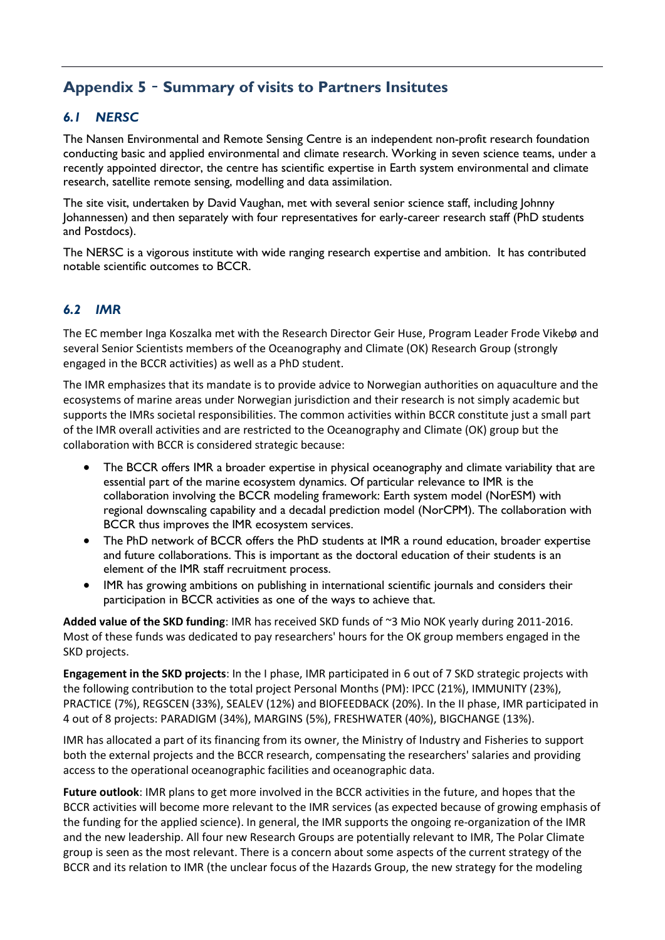# **Appendix 5** – **Summary of visits to Partners Insitutes**

### *6.1 NERSC*

The Nansen Environmental and Remote Sensing Centre is an independent non-profit research foundation conducting basic and applied environmental and climate research. Working in seven science teams, under a recently appointed director, the centre has scientific expertise in Earth system environmental and climate research, satellite remote sensing, modelling and data assimilation.

The site visit, undertaken by David Vaughan, met with several senior science staff, including Johnny Johannessen) and then separately with four representatives for early-career research staff (PhD students and Postdocs).

The NERSC is a vigorous institute with wide ranging research expertise and ambition. It has contributed notable scientific outcomes to BCCR.

### *6.2 IMR*

The EC member Inga Koszalka met with the Research Director Geir Huse, Program Leader Frode Vikebø and several Senior Scientists members of the Oceanography and Climate (OK) Research Group (strongly engaged in the BCCR activities) as well as a PhD student.

The IMR emphasizes that its mandate is to provide advice to Norwegian authorities on aquaculture and the ecosystems of marine areas under Norwegian jurisdiction and their research is not simply academic but supports the IMRs societal responsibilities. The common activities within BCCR constitute just a small part of the IMR overall activities and are restricted to the Oceanography and Climate (OK) group but the collaboration with BCCR is considered strategic because:

- The BCCR offers IMR a broader expertise in physical oceanography and climate variability that are essential part of the marine ecosystem dynamics. Of particular relevance to IMR is the collaboration involving the BCCR modeling framework: Earth system model (NorESM) with regional downscaling capability and a decadal prediction model (NorCPM). The collaboration with BCCR thus improves the IMR ecosystem services.
- The PhD network of BCCR offers the PhD students at IMR a round education, broader expertise and future collaborations. This is important as the doctoral education of their students is an element of the IMR staff recruitment process.
- IMR has growing ambitions on publishing in international scientific journals and considers their participation in BCCR activities as one of the ways to achieve that.

**Added value of the SKD funding**: IMR has received SKD funds of ~3 Mio NOK yearly during 2011-2016. Most of these funds was dedicated to pay researchers' hours for the OK group members engaged in the SKD projects.

**Engagement in the SKD projects**: In the I phase, IMR participated in 6 out of 7 SKD strategic projects with the following contribution to the total project Personal Months (PM): IPCC (21%), IMMUNITY (23%), PRACTICE (7%), REGSCEN (33%), SEALEV (12%) and BIOFEEDBACK (20%). In the II phase, IMR participated in 4 out of 8 projects: PARADIGM (34%), MARGINS (5%), FRESHWATER (40%), BIGCHANGE (13%).

IMR has allocated a part of its financing from its owner, the Ministry of Industry and Fisheries to support both the external projects and the BCCR research, compensating the researchers' salaries and providing access to the operational oceanographic facilities and oceanographic data.

**Future outlook**: IMR plans to get more involved in the BCCR activities in the future, and hopes that the BCCR activities will become more relevant to the IMR services (as expected because of growing emphasis of the funding for the applied science). In general, the IMR supports the ongoing re-organization of the IMR and the new leadership. All four new Research Groups are potentially relevant to IMR, The Polar Climate group is seen as the most relevant. There is a concern about some aspects of the current strategy of the BCCR and its relation to IMR (the unclear focus of the Hazards Group, the new strategy for the modeling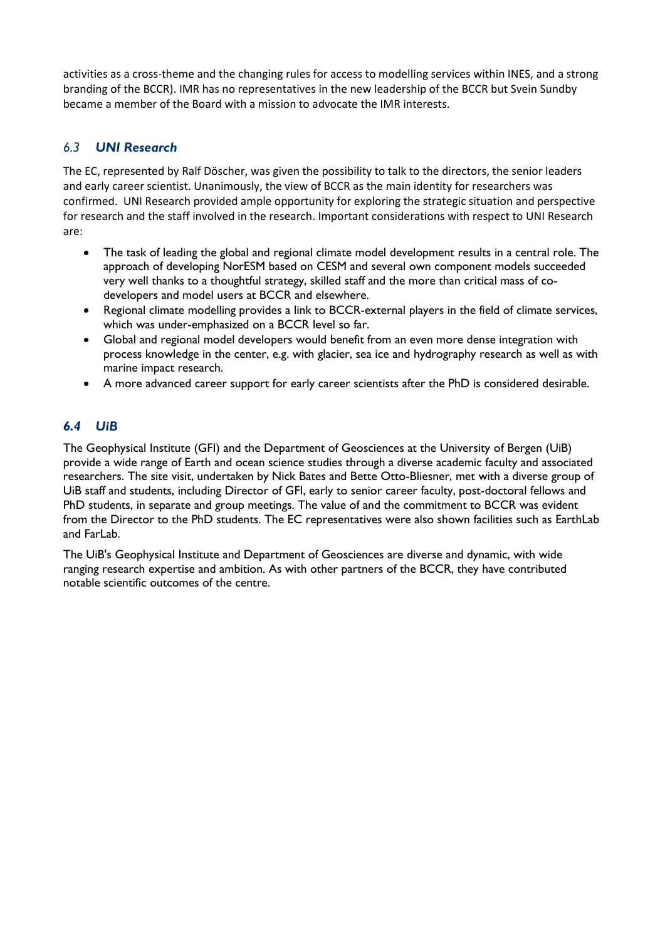activities as a cross-theme and the changing rules for access to modelling services within INES, and a strong branding of the BCCR). IMR has no representatives in the new leadership of the BCCR but Svein Sundby became a member of the Board with a mission to advocate the IMR interests.

### *6.3 UNI Research*

The EC, represented by Ralf Döscher, was given the possibility to talk to the directors, the senior leaders and early career scientist. Unanimously, the view of BCCR as the main identity for researchers was confirmed. UNI Research provided ample opportunity for exploring the strategic situation and perspective for research and the staff involved in the research. Important considerations with respect to UNI Research are:

- The task of leading the global and regional climate model development results in a central role. The approach of developing NorESM based on CESM and several own component models succeeded very well thanks to a thoughtful strategy, skilled staff and the more than critical mass of codevelopers and model users at BCCR and elsewhere.
- Regional climate modelling provides a link to BCCR-external players in the field of climate services, which was under-emphasized on a BCCR level so far.
- Global and regional model developers would benefit from an even more dense integration with process knowledge in the center, e.g. with glacier, sea ice and hydrography research as well as with marine impact research.
- A more advanced career support for early career scientists after the PhD is considered desirable.

### *6.4 UiB*

The Geophysical Institute (GFI) and the Department of Geosciences at the University of Bergen (UiB) provide a wide range of Earth and ocean science studies through a diverse academic faculty and associated researchers. The site visit, undertaken by Nick Bates and Bette Otto-Bliesner, met with a diverse group of UiB staff and students, including Director of GFI, early to senior career faculty, post-doctoral fellows and PhD students, in separate and group meetings. The value of and the commitment to BCCR was evident from the Director to the PhD students. The EC representatives were also shown facilities such as EarthLab and Farl ah

The UiB's Geophysical Institute and Department of Geosciences are diverse and dynamic, with wide ranging research expertise and ambition. As with other partners of the BCCR, they have contributed notable scientific outcomes of the centre.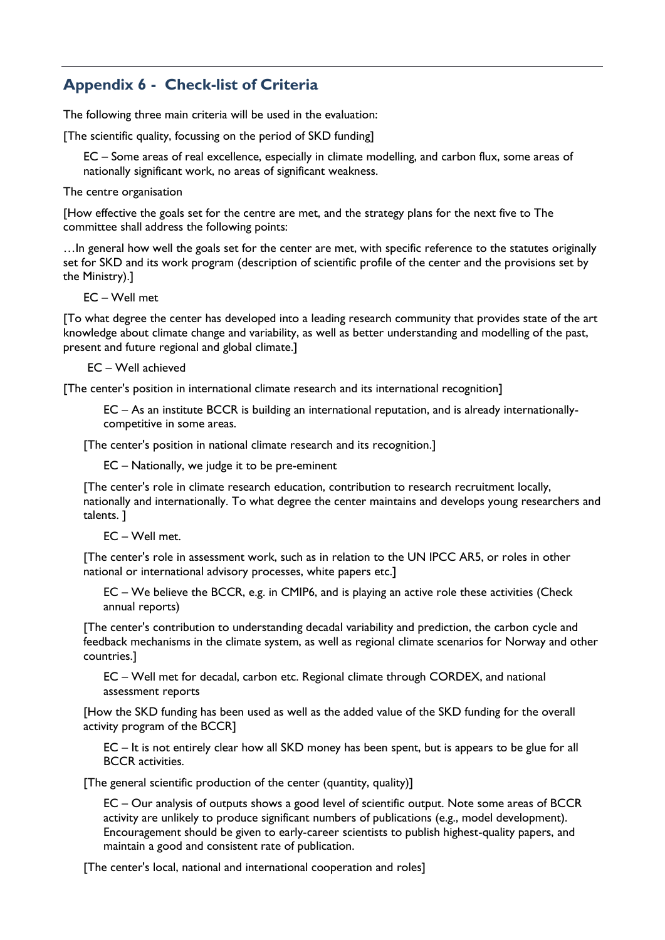# **Appendix 6 - Check-list of Criteria**

The following three main criteria will be used in the evaluation:

[The scientific quality, focussing on the period of SKD funding]

EC – Some areas of real excellence, especially in climate modelling, and carbon flux, some areas of nationally significant work, no areas of significant weakness.

The centre organisation

[How effective the goals set for the centre are met, and the strategy plans for the next five to The committee shall address the following points:

…In general how well the goals set for the center are met, with specific reference to the statutes originally set for SKD and its work program (description of scientific profile of the center and the provisions set by the Ministry).]

EC – Well met

[To what degree the center has developed into a leading research community that provides state of the art knowledge about climate change and variability, as well as better understanding and modelling of the past, present and future regional and global climate.]

EC – Well achieved

[The center's position in international climate research and its international recognition]

EC – As an institute BCCR is building an international reputation, and is already internationallycompetitive in some areas.

[The center's position in national climate research and its recognition.]

EC – Nationally, we judge it to be pre-eminent

[The center's role in climate research education, contribution to research recruitment locally, nationally and internationally. To what degree the center maintains and develops young researchers and talents. ]

EC – Well met.

[The center's role in assessment work, such as in relation to the UN IPCC AR5, or roles in other national or international advisory processes, white papers etc.]

EC – We believe the BCCR, e.g. in CMIP6, and is playing an active role these activities (Check annual reports)

[The center's contribution to understanding decadal variability and prediction, the carbon cycle and feedback mechanisms in the climate system, as well as regional climate scenarios for Norway and other countries.]

EC – Well met for decadal, carbon etc. Regional climate through CORDEX, and national assessment reports

[How the SKD funding has been used as well as the added value of the SKD funding for the overall activity program of the BCCR]

EC – It is not entirely clear how all SKD money has been spent, but is appears to be glue for all BCCR activities.

[The general scientific production of the center (quantity, quality)]

EC – Our analysis of outputs shows a good level of scientific output. Note some areas of BCCR activity are unlikely to produce significant numbers of publications (e.g., model development). Encouragement should be given to early-career scientists to publish highest-quality papers, and maintain a good and consistent rate of publication.

[The center's local, national and international cooperation and roles]